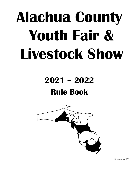# **Alachua County Youth Fair & Livestock Show**

## **2021 – 2022 Rule Book**



November 2021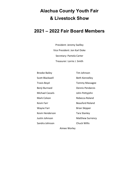### **Alachua County Youth Fair & Livestock Show**

#### **2021 – 2022 Fair Board Members**

President: Jeremy Swilley Vice President: Jon Karl Doke Secretary: Pamela Carter Treasurer: Lorrie J. Smith

| <b>Brooke Bailey</b> | Tim Johnson             |
|----------------------|-------------------------|
| Scott Blackwell      | Beth Kennelley          |
| Travis Boyd          | <b>Tommy Massagee</b>   |
| Benji Burnsed        | Dennis Pendarvis        |
| Michael Cassels      | John Pettyjohn          |
| Mark Colson          | Rebecca Roland          |
| Kevin Farr           | <b>Beauford Roland</b>  |
| Wayne Farr           | <b>Brian Skipper</b>    |
| Kevin Henderson      | Tara Stanley            |
| Justin Johnson       | <b>Matthew Surrency</b> |
| Sandra Johnson       | <b>Chuck Willis</b>     |

Aimee Worley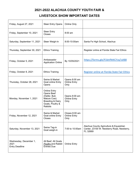#### **2021-2022 ALACHUA COUNTY YOUTH FAIR &**

#### **LIVESTOCK SHOW IMPORTANT DATES**

| Friday, August 27, 2021                                 | <b>Steer Entry Opens</b>                                                                                                     | Online Only                                   |                                                                                                  |
|---------------------------------------------------------|------------------------------------------------------------------------------------------------------------------------------|-----------------------------------------------|--------------------------------------------------------------------------------------------------|
| Friday, September 10, 2021                              | <b>Steer Entry</b><br><b>Closes</b>                                                                                          | $8:00$ am                                     |                                                                                                  |
| Saturday, September 11, 2021                            | Steer Weigh-In                                                                                                               | 8:00-10:00am                                  | Santa Fe High School, Alachua                                                                    |
| Thursday, September 30, 2021                            | <b>Ethics Training</b>                                                                                                       |                                               | Register online at Florida State Fair Ethics                                                     |
| Friday, October 5, 2021                                 | Ambassador<br><b>Application Online</b>                                                                                      | By 10/05/2021                                 | https://forms.gle/P2dnfNtKCYzq7aX88                                                              |
| Friday, October 8, 2021                                 | <b>Ethics Training</b>                                                                                                       |                                               | Register online at Florida State Fair Ethics                                                     |
| Thursday, October 28, 2021                              | Swine & Market<br>Goat online Entry<br>Opens                                                                                 | Opens 8:00 am<br><b>Online Entry</b><br>Only  |                                                                                                  |
| Monday, November 1, 2021                                | <b>Online Entry</b><br>Opens Beef<br>(Heifer, Bull,<br>Mature Cow)<br>Breeding & Dairy<br>Goats, Poultry &<br><b>Rabbits</b> | Opens 8:00 am<br><b>Online Entry</b><br>Only  |                                                                                                  |
| Friday, November 12, 2021                               | Swine & Market<br>Goat online Entry<br>Closes                                                                                | Closes 8:00 am<br><b>Online Entry</b><br>Only |                                                                                                  |
| Saturday, November 13, 2021                             | Swine Tag-in<br>Goat weigh-in                                                                                                | 7:00 to 10:00am                               | Alachua County Agriculture & Equestrian<br>Center, 23100 W. Newberry Road, Newberry,<br>FL 32669 |
| Wednesday, December 1,<br>2021<br><b>Entry Deadline</b> | All Beef, All Goats<br>Poultry and Rabbit<br><b>Entries Due</b>                                                              | <b>Online Entry</b>                           |                                                                                                  |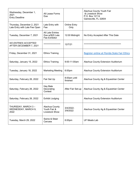| Wednesday, December 1,<br>2021<br><b>Entry Deadline</b>     | All Lease Forms<br>Due                                      |                             | Alachua County Youth Fair<br>& Livestock Show<br>P.O. Box 12114<br>Gainesville, FL 32604 |
|-------------------------------------------------------------|-------------------------------------------------------------|-----------------------------|------------------------------------------------------------------------------------------|
| Thursday, December 2, 2021<br>Late Entry with Late Fee Open | Late Entry with<br>Fee                                      | <b>Online Entry</b><br>Only |                                                                                          |
| Tuesday, December 7, 2021                                   | <b>All Late Entries</b><br>Due w/\$25 Late<br>Fee Exhibitor | 12:00 Midnight              | No Entry Accepted After This Date                                                        |
| <b>NO ENTRIES ACCEPTED</b><br>AFTER DECEMBER 7, 2021        | *******************                                         | 12/7/21                     |                                                                                          |
| Friday, December 31, 2021                                   | <b>Ethics Training</b>                                      |                             | Register online at Florida State Fair Ethics                                             |
| Saturday, January 15, 2022                                  | <b>Ethics Training</b>                                      | 9:00-11:00am                | Alachua County Extension Auditorium                                                      |
| Tuesday, January 18, 2022                                   | <b>Marketing Meeting</b>                                    | 6:00pm                      | Alachua County Extension Auditorium                                                      |
| Saturday, February 26, 2022                                 | Fair Set Up                                                 | 8:00am until<br>finished    | Alachua County Ag & Equestrian Center                                                    |
| Saturday, February 26, 2022                                 | Hay Bale<br>Decorating<br>Contest                           | After Fair Set-up           | Alachua County Ag & Equestrian Center                                                    |
| Saturday, February 26, 2022                                 | <b>Exhibit Judging</b>                                      |                             | Alachua County Extension Auditorium                                                      |
| THURSDAY, MARCH 3-<br>WEDNESDAY, MARCH 9,<br>2022           | Alachua County<br>Youth Fair &<br>Livestock Show            | 3/4/2022-<br>3/9/2022       | Alachua County Ag & Equestrian Center                                                    |
| Tuesday, March 29, 2022                                     | Swine & Steer<br>Carcass                                    | 6:00pm                      | <b>UF Meats Lab</b>                                                                      |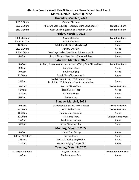#### **Alachua County Youth Fair & Livestock Show Schedule of Events March 3, 2022 – March 8, 2022**

|                    | Thursday, March 3, 2022                                                           |                             |
|--------------------|-----------------------------------------------------------------------------------|-----------------------------|
| 4:00-8:00pm        | Camper Check-in                                                                   |                             |
| 5:30-7:30pm        | All Beef Check in (Bulls, Heifers, Mature Cows, Steers)                           | Front Pole Barn             |
| 5:30-7:30pm        | Goat Check-in (Breeding & Market Goats                                            | Front Pole Barn             |
|                    | Friday, March 4, 2022                                                             |                             |
| 7:00-11:00am       | Swine Check-in                                                                    | Front Pole Barn             |
| 9:00-11:00am       | Rabbit Check-In                                                                   | Arena                       |
| 12:00pm            | <b>Exhibitor Meeting (Mandatory)</b>                                              | Arena                       |
| 2:00-5:00pm        | Poultry Check-in                                                                  | Arena                       |
| 2:30-4:30pm        | Breeding/Market Goat Show & Showmanship                                           | Arena                       |
| 6:00pm             | Bred & Owned Show/Steer Show to follow                                            | Arena                       |
|                    | Saturday, March 5, 2022                                                           |                             |
| 8:00am             | All Dairy Goats need to be checked in/Dairy Goat Skill-a-Thon                     | Front Pole Barn             |
| 9:00am             | Dairy Goat Show                                                                   | Arena                       |
| 9:00am             | Poultry Judging                                                                   | Arena                       |
| 11:00am            | Rabbit Show/Showmanship                                                           | Arena                       |
| 1:00pm             | Bred & Owned Heifer/Bull/Mature Cow<br>Beef Heifer/Bull/Mature Cow Show to follow | Arena                       |
| 3:00pm             | Poultry Skill-a-Thon                                                              | Arena Bleachers             |
| 4:00 pm            | Rabbit Skill-a-Thon                                                               | Arena                       |
| 5:30pm             | <b>Celebrity Show</b>                                                             | Arena                       |
| 6:00pm             | Swine Show                                                                        | Arena                       |
|                    | Sunday, March 6, 2022                                                             |                             |
| 9:00am             | Cattleman's & Swine Sense Contest                                                 | Arena Bleachers             |
| 10:00am            | Goat Skill-a-Thon                                                                 | Arena Bleachers             |
| 10:00am            | Poultry Showmanship                                                               | Arena                       |
| 12:00pm            | 4-H Horse Show                                                                    | Outside Horse Arena         |
| 1:00 <sub>pm</sub> | <b>Beef Showmanship</b>                                                           | Arena                       |
| 6:00pm             | Swine Showmanship                                                                 | Arena                       |
|                    | Monday, March 7, 2022                                                             |                             |
| 8:00am             | School Tour Set Up                                                                | Arena                       |
| 9:00am-12:30pm     | <b>School Tours</b>                                                               | Arena                       |
| 1:00 <sub>pm</sub> | Livestock Judging Registration                                                    | Arena                       |
| 1:30 <sub>pm</sub> | Livestock Judging Competition                                                     | Arena                       |
|                    | Tuesday, March 8, 2022                                                            |                             |
| 11:30am-12:45pm    | <b>Buyers Luncheon</b>                                                            | <b>Extension Auditorium</b> |
| 1:00 <sub>pm</sub> | <b>Market Animal Sale</b>                                                         | Arena                       |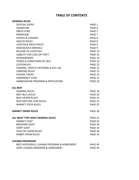#### **TABLE OF CONTENTS**

| <b>GENERAL RULES</b>                         |         |
|----------------------------------------------|---------|
| <b>OFFICIAL ENTRY</b>                        | PAGE 1  |
| <b>EXHIBITORS</b>                            | PAGE 4  |
| <b>DRESS CODE</b>                            | PAGE 5  |
| <b>PREMIUMS</b>                              | PAGE 7  |
| <b>JUDGES &amp; JUDGING</b>                  | PAGE 8  |
| <b>HEALTH RULES</b>                          | PAGE 8  |
| <b>LIVESTOCK DRUG POLICY</b>                 | PAGE 9  |
| <b>DISEASE/SICK ANIMALS</b>                  | PAGE 9  |
| <b>RELEASE OF LIVESTOCK</b>                  | PAGE 10 |
| <b>LIABILITY FOR LOSS OR THEFT</b>           | PAGE 10 |
| <b>SPONSORSHIPS</b>                          | PAGE 10 |
| <b>TERMS &amp; CONDITIONS OF SALE</b>        | PAGE 10 |
| <b>CUSTOM KILL</b>                           | PAGE 12 |
| PARKING, TRAFFIC PATTERNS & ATV USE          | PAGE 13 |
| <b>CAMPING RULES</b>                         | PAGE 13 |
| <b>SCHOOL TOURS</b>                          | PAGE 14 |
| <b>EMERGENCY PLAN</b>                        | PAGE 15 |
| AMBASSADOR PROGRAM & APPLICATION             | PAGE 16 |
| <b>ALL BEEF</b>                              |         |
| <b>GENERAL RULES</b>                         | PAGE 18 |
| <b>BEEF BULL RULES</b>                       | PAGE 24 |
| <b>BEEF HEIFER RULES</b>                     | PAGE 25 |
| BEEF MATURE COW RULES                        | PAGE 25 |
| <b>MARKET STEER RULES</b>                    | PAGE 25 |
| <b>MARKET SWINE RULES</b>                    | PAGE 28 |
|                                              |         |
| ALL MEAT TYPE GOAT GENERAL RULES             | PAGE 31 |
| MARKET GOAT                                  | PAGE 32 |
| <b>BREEDING GOAT</b>                         | PAGE 34 |
| <b>DAIRY GOAT</b>                            | PAGE 35 |
| <b>POULTRY SHOW RULES</b>                    | PAGE 38 |
| <b>RABBIT SHOW RULES</b>                     | PAGE 42 |
| <b>LEASING PROGRAMS</b>                      |         |
| BEEF HEIFER/BULL LEASING PROGRAM & AGREEMENT | PAGE 45 |
| <b>GOAT LEASING PROGRAM &amp; AGREEMENT</b>  | PAGE 49 |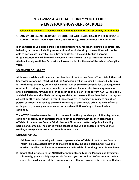#### **2021-2022 ALACHUA COUNTY YOUTH FAIR & LIVESTOCK SHOW GENERAL RULES**

#### **Followed by Individual Livestock Rules. Exhibits & Exhibitors Must Comply with All Rules**

#### **1. ANY UNETHICAL ACT, BEHAVIOR OR CONDUCT WILL BE ADDRESSED BY THE GRIEVANCE COMMITTEE AND MAY RESULT IN COMPLETE DISQUALIFICATION OF THE EXHIBITOR.**

**If an Exhibitor or Exhibitor's project is disqualified for any reason including an unethical act, behavior, or conduct, including consumption of alcohol or drugs, the exhibitor will not be able to participate in any Fair activities or contests. If the exhibitor has a second disqualification, the exhibitor will be banned from showing and participating in any of Alachua County Youth Fair & Livestock Show activities for the rest of the exhibitor's eligible years.**

#### **STATEMENT OF LIABILITY**

**All livestock exhibits will be under the direction of the Alachua County Youth Fair & Livestock Show Association, Inc., (ACYFLS), but the Association will in no case be responsible for any loss or damage that may occur. Each exhibitor will be solely responsible for a consequential or other loss, injury or damage done to, or occasioned by, or arising from, any animal or article exhibited by him/her and for its description as given in the current ACYFLS Rule Book, and shall indemnify the Alachua County Youth Fair & Livestock Show Association, Inc. against all legal or other proceedings in regard thereto, as well as damage or injury to any other person or property, caused by the exhibitor or any of the animals exhibited by him/her, or arising out of, or in any way connected with such exhibition of any of the animals so exhibited.**

**The ACYFLS board reserves the right to remove from the grounds any exhibit, entry, animal, exhibitor, or family of an exhibitor that are not cooperating with security personnel, or officials of the Alachua County Fair & Livestock Show in all matters of policy, including parking and camping. The entries will be cancelled and will be ordered to remove their exhibit/trainer/camper from the grounds immediately.**

#### **NONCOMPLIANCE**

- **1. Exhibitors not cooperating with security personnel or officials of the Alachua County Youth Fair & Livestock Show in all matters of policy, including parking, will have their entries cancelled and be ordered to remove their exhibit from the grounds immediately.**
- **2. Social Media guidelines for ACYFLS Board, Volunteers, Leaders, Parents, and Exhibitors: Ultimately, you are solely responsible for what you post online. Before creating online content, consider some of the risks, and rewards that are involved. Keep in mind that any**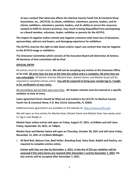**of your conduct that adversely affects the Alachua County Youth Fair & Livestock Show Association, Inc., (ACYFLS), its clients, exhibitors, volunteers, parents, leaders, and its clients, exhibitors, volunteers, parents, leaders, and its ability to secure the resources needed to fulfill its mission promises, may result in being disqualified from participating as a Board member, volunteer, leader, exhibitor or parents for the ACYFLS.**

**The impact of negative online content and negative comment shall mean loss of donations, sponsorships, add-ons and buyers, and damaging experience for exhibitors.**

**The ACYFLS reserves the right to take down and/or report any content that may be negative to the ACYFLS image or exhibitors.**

**The Grievance Committee which consists of the Executive Board will determine all Actions. All decisions of that committee will be final.**

#### **OFFICIAL ENTRY**

All entries must be made online. **We will not be accepting any entries at the Extension Office or by mail. All entry fees are due at the time the online entry is complete. All entry fees are non-refundable**. All Market Animals (Market Steer, Market Swine, and Market Goat) will be required to complete entries online. **You will be required to bring your receipt tag-in / weighin for verification of your entry.**

All committees will set their own entry fees. **All chapter animals must be entered to a specific exhibitor at time of entry.**

**Lease agreement forms should be filled out and mailed in by 12/1/21 to Alachua County Youth Fair & Livestock Show, P.O. Box 12114, Gainesville, FL 32604.**

Additional lease agreements are available on the website at: [https://www.acyfls.com](https://www.acyfls.com/)

We will open on-line entries for Market Goat, Market Swine and Market Steer two weeks prior to Tag-in and Weigh-in.

**Market Steer online entries will open on Friday, August 27, 2021, at 8:00am and will close Friday, September 10, 2021, at 7:00pm.**

**Market Goat and Market Swine will open on Thursday, October 28, 2021 and will close Friday, November 12, 2021 at 12:00am Midnight.**

1. **All Beef Bull, Mature Cow, Beef Heifer, Breeding Goat, Dairy Goat, Rabbit and Poultry, are required to complete entries online.**

**Entries with fees are due by December 1, 2021. A late fee of \$25 per exhibitor will be assessed if the entry forms are received after December 1 and by December 7, 2021. No late entries will be accepted after December 7, 2021.**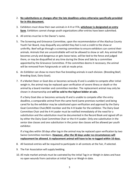#### 2. **No substitutions or changes after the late deadlines unless otherwise specifically provided for in this document.**

- 3. Exhibitors must show their own animals in 4-H or FFA, **whichever is designated on entry form**. Exhibitors cannot change youth organizations after entries have been submitted.
- 4. All entries must be in the Owner's name.
- 5. The Screening and Grievance Committee, upon the recommendation of the Alachua County Youth Fair Board, may disqualify any exhibit they feel is not a credit to the show or unthrifty. Beef will go through a screening committee to ensure exhibitors can control their animals. Animals that are uncontrollable will not be allowed to show or sell. Any animal that becomes unruly and dangerous or gets loose twice, will be tied to the fence and judged there, or may be disqualified at any time during the Show and Sale by a committee appointed by the Grievance Committee. If the committee deems it necessary, the animal will be removed from Fairgrounds or sold at resale price.
- 6. An Exhibitor can show no more than five breeding animals in each division. (Breeding Beef, Breeding Goat, Dairy Goat).
- 7. If a Market Steer or Goat dies or becomes seriously ill and is unable to compete after initial weigh-in, the animal may be replaced upon verification of severe illness or death or the animal by a board member and committee member. The replacement animal may only be shown in showmanship and **will be sold to the highest bidder at sale.**

If a Dairy Goat dies or becomes seriously ill and is unable to compete after the entry deadline, a comparable animal from the same herd (same premises number) and being cared for by the exhibitor may be substituted upon verification and approval by the Dairy Goat Committee Chair/BOD member and the 4-H leader for the exhibitor. The Dairy Goat Committee Chair and the 4-H Leader must be notified immediately of the need for a substitution and the substitution must be documented in the Record Book and signed off on by either the Dairy Goat Committee Chair or the 4-H Leader. Only one substitution in the senior doe classes and one substitution in the junior doe classes will be allowed per youth exhibitor.

If a hog dies within 30 days after tag-in the animal may be replaced upon verification by two Swine Committee members. **However, after the 30 days under no circumstances will replacement be allowed. A replacement animal will have to be re-tagged within 10 days.**

- 8. All livestock entries will be required to participate in all contests at the Fair, if selected.
- 9. The Fair Association will supply bedding.
- 10. All male market animals must be castrated by the initial Tag-in or Weigh-in dates and have no open wounds from castration at initial Tag-in or Weigh-in date.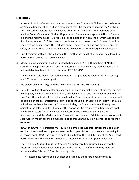#### **EXHIBITORS**

- 1. All Youth Exhibitors' must be a member of an Alachua County 4-H Club or attend school at an Alachua County School and be a member of that FFA chapter to show in the Youth Fair. Non-livestock exhibitors must be Alachua County 4-H members or FFA members of an Alachua County Vocational Student Organization. The minimum age of a 4-H'er is 5 years old and the maximum age is 18 years old, or completion of high school, whichever comes first, by September  $1<sup>st</sup>$  of the current school year. Animal projects for 5-7 years old will be limited to lap animals only. This includes rabbits, poultry, pets, and dog projects; and for safety purposes, these exhibitors will not be allowed to assist with large animal projects.
- 2. Only Exhibitors with an Official Entry in the Fair that has paid Entry Fees will be allowed to participate in events that receive awards.
- 3. Market animal exhibitors shall be limited to bona fide FFA or 4-H members of Alachua County with approved projects, and not entering or exhibiting in any market show that is not available to all exhibitors in this show, 3/3/22-3/8/22.
- 4. The maximum sale weight for market steers is 1400 pounds, 295 pounds for market hogs, and 125 pounds for market goats.
- 5. We expect exhibitors to groom their own animals. **NO PROFESSIONALS**.
- 6. Exhibitors will be allowed enter and show up to two (2) market animals of different species (steer, goat, and hog). Exhibitors will only be allowed to sell one (1) animal throughout the sale. The other animal will be sold at resale value. Exhibitors must declare which animal will be sold on an official "Declaration Form" due at the Exhibitor Meeting on Friday. If the sale animal has not been declared by 5:00pm on Friday, the Sale Committee will assign an animal to the sale. Exhibitors that elect this option will be required to submit record books and buyer's letters for both animals. Exhibitors will be allowed to participate in Showmanship and the Market Animal Show with both animals. Exhibitors are encouraged to seek Add-on money for the animal does not go through the auction in order to cover their expenses.
- 7. **RECORD BOOKS:** All exhibitors must turn in a **Completed General Fair Record Book**. Each exhibitor is required to complete one record book per division that they are competing in. All record books **MUST** be turned in by 11:30am before the exhibitors meeting. Any record book turned in at the exhibitors meeting or later will result in a 10-point deduction.

There will be a **5-point bonus** for Breeding Animal record books turned in early to the Extension Office between February 5 and February 12, 2022. If mailed, they must be postmarked by February 12 for the bonus points.

• Incomplete record books will not be graded by the record book committee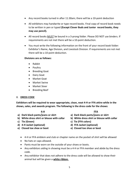- Any record books turned in after 11:30am; there will be a 10-point deduction
- All exhibitors may handwrite or type record books. Final copy of record book needs to be written in pen or typed **(Except Clover Buds and Junior record books, they may use pencil).**
- All record books **MUST** be bound in a 3-prong folder. Please DO NOT use binders. If requirements are not met there will be a 10-point deduction.
- You must write the following information on the front of your record book folder: Exhibitor's Name, Age Division, and Livestock Division. If requirements are not met there will be a 10-point deduction.

#### **Divisions are as follows:**

- Rabbit
- Poultry
- Breeding Goat
- Dairy Goat
- Market Goat
- Market Swine
- Market Steer
- Breeding Beef

#### 8. **DRESS CODE**

**Exhibitors will be required to wear appropriate, clean, neat 4-H or FFA attire while in the shows, sales, and awards program. The following is the dress code for the shows:**

- **a) Dark black pants/jeans or skirt a) Dark black pants/jeans or skirt**
- 
- 
- **d) 4-H Jacket (optional) d) FFA Jacket (optional)**
- **e) Closed toe shoe or boot e) Closed toe shoe or boot**
- **4-H FFA**
	-
- **b) White dress shirt or blouse with collar b) White dress shirt or blouse with collar**
- **c) Tie (Green) c) Tie (FFA colors)**
	-
	-
	- 4-H or FFA emblem and club or chapter name on the pocket of shirt will be allowed
	- No hats or caps allowed.
	- Pants must be worn on the outside of your shoes or boots.
	- Any exhibitors aiding in showing must be a 4-H or FFA member and abide by the dress code.
	- Any exhibitor that does not adhere to the dress code will be allowed to show their animal but will be given a **white ribbon.**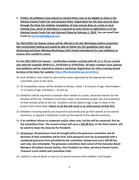9. **ETHICS: All exhibitors must attend on Animal Ethics class to be eligible to show in the Alachua County Youth Fair and Livestock Show. Registration for the class must be done through the State Fair website. Completion of class may be done at a state or local training class, proof of attendance is required on entry forms at registration or to the Alachua County Youth Fair and Livestock Show by February 1, 2022. You can email Pam Carter at [retracmap61@gmail.com.](mailto:retracmap61@gmail.com)** 

**For 2021/2022 Fair Season classes will be offered in On-Site Workshops (where presenters feel comfortable holding and would be able to follow the CDC guidelines with social distancing) and Zoom Meeting Workshops (with limited attendance) for new exhibitors or anyone who needed to renew.**

**For the 2021/2022 Fair Season – Certification numbers starting with 20, 21 or 22 are current and valid (for example 20FSF1111, 21FSF3333 or 22FSF2222). All other numbers have expired, and exhibitors will be required to attend a workshop. Registration for ethics training should be done at the State Fair website: [https://floridastatefairag.com/ethics/.](https://floridastatefairag.com/ethics/)** 

- 10. Each exhibitor must show his own animal unless approved by the appropriate show committee, prior to the show.
- 11. All Competition classes will be divided as follows: Junior 8-10 years of age; Intermediate 11-13 years of age, and Senior – 14 and up.
- 12. Exhibitors will be required to maintain their exhibits in a clean, attractive manner for the duration of the Fair. Exhibitors must feed, water, and maintain proper care and treatment of their animals while at the Fair. Exhibitors will be asked to sign a sign-in sheet in the project areas twice daily. **Failure to do this will result in an enforcement of Rule #14.**
- 13. Exhibitors receiving awards are required to personally pick up their awards at the awards ceremony, or appoint a substitute to pick up the awards at the awards ceremony.
- 14. **If an exhibitor refuses to cooperate and/or obey rules, he/she will be contacted, first by the Committee Chair. The second contact will carry a \$50.00 fine; on the third contact, will be asked to leave the show by the President.**
- 15. **Grievances: All grievances must be brought before the grievance committee and all decisions of that committee will be final. Each grievance must be accompanied with a completed grievance form (provided by the committee chairperson) and a \$50.00 fee, cash only, non-refundable. The grievance committee shall consist of the Executive Board Members (President Jeremy Swilley, Vice President Jon Doke, Secretary Pamela Carter, Treasurer Lorrie Smith) and Committee Chair.**
- 16. Liability in case of death or injury to an animal remains with exhibitor until loaded.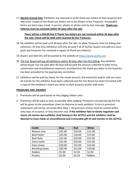17. **Market Animal Sale:** Exhibitors are required to write thank you letters to their buyer(s) and add-on(s). Copies of the thank you letters are to be shown to the Treasurer. Acceptable forms are hard copy, email, in person, photo, or photo sent by text message. **Thank you letter(s) must be received within 45 days after the sale.**

#### **There will be a \$50.00 fine if Thank You letters are not received within 45 days after the sale. Check will be held until received by the Treasurer.**

- 18. No exhibitor will be paid until 30 days after the sale, to allow Treasurer time for billing and collection. At that time exhibitors will only be paid if all of his/her buyers and add-ons have paid, and treasurer has received a copy(s) of thank you letter(s).
- 19. Buyers and Add-Ons will be posted to the website at [https://www.acyfls.com](https://www.acyfls.com/)
- 20. The Fair Board will pay all exhibitors within 90 days after the first billing. Any exhibitor whose buyer has not paid after 90 days will be paid the amount collected to date minus commission and miscellaneous expenses, provided that the thank you letter to the buyer(s) has been provided to the appropriate committee.
- 21. Exhibitors will be paid by check, for the resale amount, bid amount(s) and/or add-ons once all monies for the exhibitor have been collected and the Fair Board has been furnished with a copy of the exhibitor's thank you letter to their buyer(s) and/or add-on(s).

#### **PREMIUMS AND AWARDS**

- 1. Premiums will be paid based on the judging ribbon color.
- 2. Premiums will be paid as soon as possible after judging. Premiums not paid during the Fair will be given to the committee chairs to disburse to each exhibitor. Errors in premium statements will not be corrected after May 1. All premium checks must be cashed within sixty days of issuance, or they become void. **If the exhibitor fails to timely negotiate said check, all monies due exhibitor shall belong to the ACYFLS and the exhibitor shall be deemed to have made an unconditional and irrevocable gift of said monies to the ACYFLS.**

| <b>CLASS</b>          | <b>Blue</b> | <b>Red</b> | White   |
|-----------------------|-------------|------------|---------|
| <b>Mature Cow</b>     | \$25.00     | \$20.00    | \$15.00 |
| <b>Beef Heifer</b>    | \$25.00     | \$20.00    | \$15.00 |
| <b>Beef Bulls</b>     | \$25.00     | \$20.00    | \$15.00 |
| Dairy Heifer          | \$25.00     | \$20.00    | \$15.00 |
| Dairy Goats           | \$20.00     | \$15.00    | \$10.00 |
| <b>Breeding Goats</b> | \$20.00     | \$15.00    | \$10.00 |
| Rabbits               | \$5.00      | \$2.50     | \$2.00  |
| Poultry               | \$5.00      | \$2.50     | Ribbon  |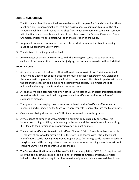#### **JUDGES AND JUDGING**

- 1. The first-place **blue** ribbon animal from each class will compete for Grand Champion. There must be a blue ribbon animal in at least one class to have a championship class. The blueribbon animal that stood second in the class from which the champion came, will compete with the first-place blue-ribbon animals of the other classes for Reserve Champion. Grand Champion or Reserve designation will be at the discretion of the judge.
- 2. Judges will not award premiums to any article, product or animal that is not deserving. It must be judged individually worthy.
- 3. The decision of the judge shall be final.
- 4. Any exhibitor or parent who interferes with the judging will cause the exhibitor to be excluded from competition; if done after judging, the premiums awarded will be forfeited.

#### **HEALTH RULES**

- 1. All health rules as outlined by the Florida Department of Agriculture, Division of Animal Industry and under each specific department must be strictly adhered to. Any violation of these rules will be grounds for disqualification of entry. A certified state inspector will be on the grounds to check in all animals and accompanying papers. No animals are to be unloaded without approval from the inspector on duty.
- 2. All animals must be accompanied by an official Certificate of Veterinarian Inspection (except for swine, rabbits, and poultry) listing permanent identification and must be free of evidence of disease.
- 3. Young stock accompanying their dams must be listed on the Certificate of Veterinarian Inspection and inspected by the State Veterinary Inspector upon entry into the Fairgrounds.
- 4. Only animals being shown at the ACYF&LS are permitted on the Fairgrounds.
- 5. Any evidence of tampering with animals will automatically disqualify any entry. This includes such things as filling with a foreign substance and the use of tranquilizers or drugs. It is illegal to feed ruminant by-products to any ruminant animals.
- 6. The Cattle Identification Rule will be in effect (Chapter 5C-31). The Rule will require cattle 18 months of age or older moving within the state to be tagged with Official Individual Identification. Cattle moving to Approved Tagging sites for tagging, cattle moving directly to slaughter, and cattle moving between pastures under normal ranching operations, without changing Ownership are exempted under the rule.
- 7. **The Swine Identification rule will be in effect**. Federal regulation, 9CFR.71.19 requires that all swine being shown at Fairs or exhibitions (interstate commerce) must have official individual identification at tag in until termination of project. Swine presented that do not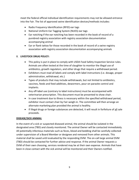meet the federal official individual identification requirements may not be allowed entrance into the Fair. The list of approved swine identification devices/methods includes:

- Radio Frequency Identification (RFID) ear tags
- National Uniform Ear Tagging System (NUES) ear tags
- Ear notching if the ear notching has been recorded in the book of record of a purebred registry association with registry association documentation accompanying animal
- Ear or flank tattoo for those recorded in the book of record of a swine registry association with registry association documentation accompanying animals

#### 8. **LIVESTOCK DRUG POLICY:**

- This policy is put in place to comply with USDA Food Safety Inspection Service rules. Animals are often tested at the time of slaughter to monitor the illegal use of antibiotics, growth regulators, and other drugs that require a withdrawal period.
- Exhibitors must read all labels and comply with label instructions (i.e. dosage, proper administration, withdrawal, etc.)
- Types of products that may include withdrawals, but not limited to antibiotics, vaccines, feeds and feed additives, dewormers, pour-on parasite control and implants.
- Any off-label use (contrary to label instructions) must be accompanied with veterinarian prescription. This document must be presented to show chair.
- In case treatment due to illness is necessary within the specified withdrawal period, exhibitor must contact chair by Fair weigh-in. The committee will then arrange an alternate marketing plan provided the animal is healthy.
- If illegal drugs or foreign substances are detected, it will result in forfeiture of all sale proceeds.

#### **DISEASE/SICK ANIMAL**

In the event of a sick or suspected diseased animal, the animal should be isolated in the designated area (TBD) and closely monitored. The animal Owner will be contacted immediately. All potentially infectious materials such as feces, blood and bedding shall be carefully collected under supervision of a Board Member or designee and removed from other animals. This material shall be saved until evaluated by the responding DVM. The on-call large animal DVM (TBD) should be contacted for further advice and response. If the animal Owner requests a DVM of their own choosing, services rendered may be at their own expense. Animals that have been in close contact with the sick animal will be monitored and their Owners notified.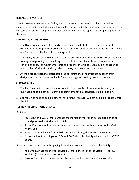#### **RELEASE OF LIVESTOCK**

Specific release times are specified by each show committee. Removal of any animals or exhibits prior to designated release time, unless approved by the appropriate show committee, will cause forfeiture of all premiums won, all fees paid and the right to further participation in the show.

#### **LIABILITY FOR LOSS OR THEFT**

- 1. The Owner or custodian of property of any kind brought to the Fairgrounds, either for exhibit or for other purposes assumes, as a condition of its admission to the grounds, all risk and/or responsibility for its loss, damage or theft.
- 2. The Show, its officers and employees, cannot and will not accept responsibility and liability for any damage or injuring resulting from theft, fire, the elements, accidents or other conditions or causes; whether to exhibits, property of exhibitor, vehicles on the grounds and articles left therein, and any other property of any nature, whatsoever.
- 3. Animals are restricted to designated area of Fairgrounds and must not be taken from designated area. Violators are liable for any damage incurred by Owner or animal.

#### **SPONSORSHIPS**

- 1. The Fair Board will not accept a sponsorship for any contest from any individual(s) or business(s) that did not pay a previous commitment to a sponsorship, bid or add-on.
- 2. Sponsorships need to be paid before the Fair; the Treasurer will not be billing sponsors after the Fair.

#### **TERMS AND CONDITIONS OF SALE**

Definitions:

- Resale Buyer: Buyer(s) that purchase the market animal for an agreed upon price per pound prior to the Market Animal Sale.
- Resale Price: Amount per pound agreed upon by the resale buyer prior to the Market Animal Sale.
- Buyer: The actual buyer(s) that bids the highest during the market animal sale.
- Custom Kill: Animal will go to USDA or FDACS slaughter facility selected by the ACYFLS Board.

Buyer will receive the meat after paying the cut and wrap fee to the slaughter facility.

- Add-On: Business(es) and/or individual(s) that donate to the individual 4-H or FFA exhibitor (flat amount or per pound).
- Carcass: The price of the carcass will be based on the resale value/carcass value.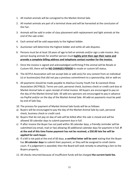- 1. All market animals will be consigned to the Market Animal Sale.
- 2. All market animals are part of a terminal show and will be harvested at the conclusion of the Fair.
- 3. Animals will be sold in order of class placement with replacement and light animals at the end of the sale order.
- 4. Each animal will be sold separately to the highest bidder.
- 5. Auctioneer will determine the highest bidder and settle all sale disputes.
- 6. Persons must be at least 18 years of age to bid on animals and/or sign a sale invoice. Any person buying animals for another person must **legibly print then sign their name and provide a complete billing address and telephone contact number for the invoice.**
- 7. Once the invoice is signed and acknowledged confirming if the animal will be Resale or Custom Kill, there will be **NO CHANGES PERIOD** to resale or custom kill status.
- 8. The ACYFLS Association will not accept bids or add-on(s) for any contest from an individual (s) or business(es) that did not pay a previous commitment to a sponsorship, bid or add-on.
- 9. All payments should be made payable to Alachua County Youth Fair & Livestock Show Association (ACYF&LS). Terms are cash, personal check, business check or credit card due at Market Animal Sale or upon receipt of initial invoice. All buyers are encouraged to pay on the day of the Market Animal Sale. All add-ons sponsors are encouraged to pay in advance via PayPal and/or on the day of the Market Animal Sale. All add-on payments must be paid by end of Sale Day.
- 10. The process for payment of Market Animal Sale funds will be as follows:
- a) Buyers will be encouraged to pay the day of the Market Animal Sale by cash, personal check, business check or credit card.
- b) Buyers that do not pay on day of sale will be billed after the sale is closed and will be allowed 30 calendar days to submit payment due in full.
- c) If after invoice the Buyer has not paid within 30 calendar days, a friendly reminder will be submitted (via email, mail or fax) allowing 30 additional calendar days for payment in full. **If at the end of this time frame payment has not be received, a \$50.00 late fee will be applied for each buyer.**
- d) If a bill is not paid at the end of 60 days, **a certified letter will be sent** stating that the Buyer has **30 calendar days** to submit their payment, or they will be assigned to small claims court. If a judgement is awarded; then the Board will seek remedy to attaching a lien to the Buyers property.
- 11. All checks returned because of insufficient funds will be charged **the current bank fee.**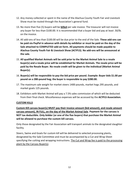- 12. Any money collected or spent in the name of the Alachua County Youth Fair and Livestock Show must be routed through the Association's general fund.
- 13. No more than five (5) buyers will be **billed** per sale invoice. The treasurer will not invoice any buyer for less than \$100.00. It is recommended that a buyer bid and pay at least .50/lb. on the invoice.
- 14. All add-ons of less than \$100.00 will be due prior to the end of the Sale. **These add-ons can be paid via PayPal in advance with details by exhibitor or must be paid on the day of the Sale attached to COMPLETED add-on form. All payments should be made payable to Alachua County Youth Fair & Livestock Show (ACYFLS). No add-ons will be announced at the sale.**
- 15. **All qualified Market Animals will be sold prior to the Market Animal Sale to a resale buyer(s) and a resale price will be established for Market Animals. The resale price will be paid by the Resale Buyer. No resale credit will be given to the individual (Market Animal Buyer(s).**
- 16. **Buyer(s) will be responsible to pay the bid price per pound. Example: Buyer bids \$1.00 per pound on a 280-pound hog; the buyer is responsible to pay \$280.00.**
- 17. The maximum sale weight for market steers 1400 pounds, market hogs 295 pounds, and market goats 125 pounds.
- 18. Exhibitors with Market Animal will pay a 7.5% sales commission of which will be deducted from their final check. Miscellaneous expenses will be accessed by the **ACYFLS Association.**

#### **CUSTOM KILLS**

**Custom Kill carcass buyer(s) MUST pay their invoice amount (bid amount), and resale amount carcass amount), IN FULL, on the day of the Market Animal Sale. Payment for the carcass is NOT tax deductible. Only bidder (or one of the five buyers) that purchase the Market Animal will be allowed to purchase the custom kill carcass.**

Only those designated by the Fair Association will transport animals to the designated slaughter facility.

Steers, Swine and Goats for custom kill will be delivered to selected processing plants, designated by the Sale Committee and must be accompanied by a Cut and Wrap Sheet specifying the cutting and wrapping instructions. The Cut and Wrap fee is paid to the processing plant by the Carcass Buyer(s).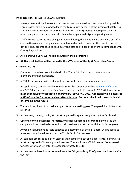#### **PARKING, TRAFFIC PATTERNS AND ATV USE**

- 1. Please drive carefully due to children present and slowly to limit dust as much as possible. Careless drivers will be asked to leave the Fairgrounds because of the significant safety risk. There will be a Maximum 10 MPH at all times on the Fairgrounds. Please park trailers in areas designated for trailers and all other vehicles park in designated parking areas.
- 2. Traffic control patterns may change as needed during the event. Please be aware of traffic cone patterns and do not park in an area blocked off with cones or other traffic control devices. They are intended to keep everyone safe and to keep the event in compliance with County Regulations.
- 3. **ATV's and Golf Carts will not be allowed on the Fairgrounds!**
- 4. **All Livestock trailers will be parked in the NW corner of the Ag & Equestrian Center.**

#### **CAMPING RULES**

- 1. Camping is open to anyone **involved** in the Youth Fair. Preference is given to board members and then exhibitors.
- 2. A \$50.00 per camper will be charged to cover utility and insurance expenses.
- 3. An application, Camper Liability Waiver, (must be completed online at [www.acyfls.com\)](http://www.acyfls.com/), and \$50.00 fee are due to the Fair Board for approval by February 1, 2022. **All three items must be received for application approval by February 1, 2022. Applicants will be assessed a \$25.00 late fee for items received after this date. Returned checks will result in denial of camping in the future.**
- 4. There will be a limit of two vehicles per site with a parking pass. The speed limit is 5 mph at all times.
- 5. All campers, trailers, trucks, etc. must be parked in space designated by the Fair Board.
- 6. **Use of alcoholic beverages, narcotics, or illegal substance is prohibited**; if violated the campers will be asked to leave and not allowed to camp at the Youth Fair in future years.
- 7. Anyone displaying undesirable conduct, as determined by the Fair Board, will be asked to leave and not allowed to camp at the Youth Fair in future years.
- 8. All campers are responsible for keeping their campsite neat and clean. All trash and waste must be disposed of in an approved manner. There will be a \$50.00 cleanup fee assessed for sites with trash left after the occupants vacate the site.
- 9. All campers will need to be removed from the Fairgrounds by 12:00pm on Wednesday after the Fair.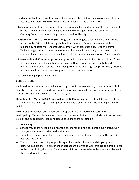- 10. Minors will not be allowed to stay on the grounds after 9:00pm, unless a responsible adult accompanies them. Exhibitors over 18 do not qualify as adult supervision.
- 11. Application must have all names of persons camping for the duration of the Fair. If a guest wants to join a campsite for the night, the name of the guest must be submitted to the Camping Committee before the gates are closed for the night.
- 12. **GATES WILL BE CLOSED AT NIGHT**. Designated times of gate closure and opening will be posted in the Fair schedule and given to all Fair campers. Campers are responsible for making any necessary arrangements to comply with these gate closure/opening times. While emergencies do happen, please remember you will be waking someone up to let you in or out. Please consider this when deciding if your situation qualifies as an "Emergency".
- 13. **Reservation of 50 amp campsites**: Campsites with power are limited. Reservations of sites will be made on a first come first serve basis, with preference being given to board members and then exhibitors. The camping committee will assign campsites. Every attempt will be made to accommodate assignment requests within reason.
- 14. **The camping application** is online.

#### **SCHOOL TOURS**

**Explanation**: School tours is an educational opportunity for elementary students across Alachua County to come to the Fair and learn about the various livestock and non-livestock projects that 4-H and FFA members work so hard on each year.

**Date: Monday, March 7, 2022 from 9:30am to 12:00pm**. Sign-up sheets will be posted at the arena. Exhibitors must sign-in and sign-out to receive credit for their club and to gain his/her points.

**Dress Code for School Tours**: Show attire is appropriate for those exhibitors who are participating. FFA members and 4-H members may wear their club polo shirts. Shirts must have a collar and be tucked in. Jeans and closed-toed shoes are acceptable.

- 1. No cursing
- 2. School groups are not to be led near the back tents or in the back of the main arena. Only take groups to the activities on the itinerary.
- 3. Exhibitors helping cannot leave their group or assigned station until a committee member has released them.
- 4. There is to be no exercising or practicing with animals in the arena while groups are still being walked around. No exhibitors or parents are allowed to walk through the arena to get to the barns during the tours. Only those exhibitors chosen to be in the arena are allowed in the area during this time.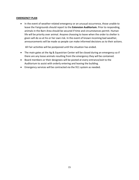#### **EMERGENCY PLAN**

• In the event of weather-related emergency or an unusual occurrence, those unable to leave the Fairgrounds should report to the **Extension Auditorium.** Prior to responding, animals in the Barn Area should be secured if time and circumstances permit. Human life will be priority over animal. Anyone choosing to leave when the order to shelter is given will do so at his or her own risk. In the event of known incoming bad weather, announcements will be made so people can make informed decisions as to their actions.

All Fair activities will be postponed until the situation has ended.

- The main gates at the Ag & Equestrian Center will be closed during an emergency so if there are any loose animals resulting from the emergency they will be contained.
- Board members or their designees will be posted at every entrance/exit to the Auditorium to assist with orderly entering and leaving the building.
- Emergency services will be contracted via the 911 system as needed.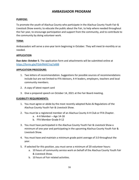#### **AMBASSADOR PROGRAM**

#### **PURPOSE:**

To promote the youth of Alachua County who participate in the Alachua County Youth Fair & Livestock Show events; to educate the public about the Fair, to help where needed throughout the Fair year, to encourage participation and support from the community, and to contribute to the community by doing volunteer work.

#### **TERM:**

Ambassadors will serve a one-year term beginning in October. They will meet bi-monthly or as needed.

#### **APPLICATION**

**Due date: October 5**. The application form and attachments will be submitted online at [https://forms.gle/P2dnfNtKCYzq7aX88](https://urldefense.com/v3/__https:/forms.gle/P2dnfNtKCYzq7aX88?fbclid=IwAR2QuxYUT64zycYAWZfoIDDfwEq-t1qDzJJFGsKhvFVEb6fJEsMneqw7Bv4__;!!LGX2LR-tWgttPq0!Xt8yEXrp_oewropAX12WkRIKWOUW8piXRIkiaw87HwF0pRwRJMaXabToZuz-9flC4vzZAw$)

#### **APPLICATION PROCEDURE:**

- 1. Two letters of recommendation. Suggestions for possible sources of recommendations include but are not limited to FFA Advisors, 4-H leaders, employers, teachers and local community members.
- 2. A copy of latest report card
- 3. Give a prepared speech on October 14, 2021 at the Fair Board meeting.

#### **ELIGIBILITY REQUIREMENTS:**

- 1. You must agree or abide by the most recently adopted Rules & Regulations of the Alachua County Youth Fair & Livestock Show.
- 2. You must be a registered member of an Alachua County 4-H Club or FFA Chapter.
	- a. 4-H Member Age 14-18
	- b. FFA Member Grade 9-12
- 3. You must have participated in the Alachua County Youth Fair & Livestock Show a minimum of one year and participating in the upcoming Alachua County Youth Fair & Livestock Show.
- 4. You must have and maintain a minimum grade point average of 3.0 throughout the year.
- 5. If selected for this position, you must serve a minimum of 20 volunteer hours:
	- a. 10 hours of community service work on behalf of the Alachua County Youth Fair & Livestock Show.
	- b. 10 hours of Fair related activities.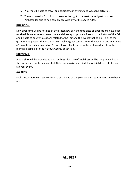- 6. You must be able to travel and participate in evening and weekend activities.
- 7. The Ambassador Coordinator reserves the right to request the resignation of an Ambassador due to non-compliance with any of the above rules.

#### **INTERVIEW:**

New applicants will be notified of their interview day and time once all applications have been received. Make sure to arrive on time and dress appropriately. Research the history of the Fair and be able to answer questions related to the Fair and the events that go on. Think of the qualities you possess that you think will make a great candidate for the position and why. Have a 2-minute speech prepared on "How will you plan to serve in the ambassador role in the months leading up to the Alachua County Youth Fair?"

#### **UNIFORMS:**

A polo shirt will be provided to each ambassador. The official dress will be the provided polo shirt with khaki pants or khaki skirt. Unless otherwise specified, the official dress is to be worn at every event.

#### **AWARDS:**

Each ambassador will receive \$200.00 at the end of the year once all requirements have been met.

#### **ALL BEEF**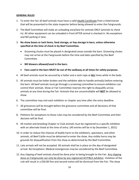#### **GENERAL RULES**

- 1. To enter the Fair all beef animals must have a valid Health Certificate from a Veterinarian that will be presented to the state inspector before being allowed to enter the Fairgrounds.
- 2. The Beef Committee will make an unloading area/lane for animals ONLY (animals to check in). All other equipment can be unloaded in front AFTER animal is checked in. No exceptions and NO parking in lane.
- 3. **No show boxes or tack items, feed storage, or hay storage in barn, unless otherwise specified at the time of check in by Beef Committee.**
	- Grooming chutes must be placed in designated areas outside the barn. Grooming chutes may not arrive at the Fairgrounds before the time and date specified by the Beef Committee.
	- **NO blowers allowed/used in the barn.**
	- **Fans used in the barn MUST be out of the walkway at all times for safety purposes.**
- 4. All beef animals must be secured by a halter and a neck rope at **ALL** times while in the beds.
- 5. All animals must be halter broken and the exhibitor able to handle animal(s) before entering the barn. All beef animals must go through a screening committee to ensure exhibitors can control their animals. Show or Fair Committee reserves the right to disqualify unruly animals at any time during the Fair. Animals that are uncontrollable will **NOT** be allowed to show.
- 6. The committee may visit each exhibitor or chapter any time after the entry deadline.
- 7. All grievances will be brought before the grievance committee and all decisions of that committee will be final.
- 8. Petitions for exceptions to these rules may be considered by the Beef Committee and their decision will be final.
- 9. All market and breeding Chapter or Club animals must be registered to a specific exhibitor with an alternate listed at the time of entry. (All entries will be in by December 1, 2021)
- 10. In order to reduce the chances of bodily harm to the exhibitors, spectators, and other animals, all Beef Cattle must be dehorned to enter the show. Any visible horns may be grounds for disqualification from the show as determined by the Beef Committee.
- 11. Late arrivals will not be accepted. All animals shall be in place on the day of designated arrival. No Exceptions. Medical emergencies may be considered by the Beef Committee.
- 12. Any clipping of beef animals should be done prior to being brought to the Fair. Any clipping done on Fairgrounds can only be done by any registered ACYF&LS exhibitor. Violation of the rule will result in a \$50.00 fine and second notice will be dismissal from the Fair. The show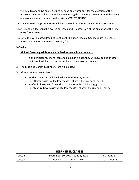will be a Blow and Go and is defined as soap and water only for the duration of the ACYF&LS. Animals will be checked when entering the show ring. Animals found that have any grooming materials used will be given a **WHITE RIBBON**.

- 13. The Fair Screening Committee shall have the right to mouth animals to determine age.
- 14. All Breeding Beef must be owned or leased and in possession of the exhibitor at the time entry forms are due.
- 15. Exhibitors with leased Breeding Beef must fill out an Alachua County Youth Fair Lease Agreement and turn it in with the entry form.

#### **CLASSES**

#### 1. **All Beef Breeding exhibitors are limited to two animals per class**.

- If an exhibitor has more than one animal in a class, they will have to use another registered exhibitor of our Fair to help show the other animal.
- 2. The Modified Danish Judging System will be used.
- 3. After all animals are entered:
	- Market Steer class will be divided into classes by weight
	- Beef Heifer classes will follow the class chart in the rulebook (pg. 20)
	- Beef Bull classes will follow the class chart in the rulebook (pg. 21)
	- Beef Mature Cow classes will follow the class chart in the rulebook (pg. 22)

#### **BEEF HEIFER CLASSES**

| Class 1 | September 30, 2021 - June 1, 2021 | $\vert$ 6-9 months |
|---------|-----------------------------------|--------------------|
| Class 2 | May 31, 2021 – April 1, 2021      | $10-11$ months     |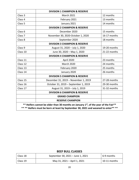|                                                                                                                                                                                      | <b>DIVISION 1 CHAMPION &amp; RESERVE</b> |              |
|--------------------------------------------------------------------------------------------------------------------------------------------------------------------------------------|------------------------------------------|--------------|
| Class <sub>3</sub>                                                                                                                                                                   | <b>March 2021</b>                        | 12 months    |
| Class 4                                                                                                                                                                              | February 2021                            | 13 months    |
| Class <sub>5</sub>                                                                                                                                                                   | January 2021                             | 14 months    |
|                                                                                                                                                                                      | <b>DIVISION 2 CHAMPION &amp; RESERVE</b> |              |
| Class <sub>6</sub>                                                                                                                                                                   | December 2020                            | 15 months    |
| Class <sub>7</sub>                                                                                                                                                                   | November 30, 2020-October 1, 2020        | 16-17 months |
| Class 8                                                                                                                                                                              | September 2020                           | 18 months    |
|                                                                                                                                                                                      | <b>DIVISION 3 CHAMPION &amp; RESERVE</b> |              |
| Class 9                                                                                                                                                                              | August 31, 2020 - July 1, 2020           | 19-20 months |
| Class 10                                                                                                                                                                             | June 30, 2020 - May 1, 2020              | 21-22 months |
|                                                                                                                                                                                      | <b>DIVISION 4 CHAMPION &amp; RESERVE</b> |              |
| Class 11                                                                                                                                                                             | April 2020                               | 23 months    |
| Class 12                                                                                                                                                                             | <b>March 2020</b>                        | 24 months    |
| Class 13                                                                                                                                                                             | February 2020                            | 25 months    |
| Class 14                                                                                                                                                                             | January 2020                             | 26 months    |
|                                                                                                                                                                                      | <b>DIVISION 5 CHAMPION &amp; RESERVE</b> |              |
| Class 15                                                                                                                                                                             | December 31, 2019 - November 1, 2019     | 27-28 months |
| Class 16                                                                                                                                                                             | October 31, 2019 - September 1, 2019     | 29-30 months |
| Class 17                                                                                                                                                                             | August 31, 2019 - July 1, 2019           | 31-32 months |
|                                                                                                                                                                                      | <b>DIVISION 6 CHAMPION &amp; RESERVE</b> |              |
|                                                                                                                                                                                      | <b>GRAND CHAMPION</b>                    |              |
|                                                                                                                                                                                      | <b>RESERVE CHAMPION</b>                  |              |
| ** Heifers cannot be older than 30 months on January 1 <sup>st</sup> , of the year of the Fair**<br>**** Heifers must be born at least by September 30, 2021 and weaned to enter**** |                                          |              |

#### **BEEF BULL CLASSES**

| Class 18 | September 30, 2021 - June 1, 2021 | 6-9 months   |
|----------|-----------------------------------|--------------|
| Class 19 | May 31, 2021 – April 1, 2021      | 10-11 months |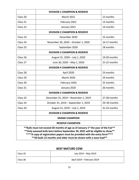|          | <b>DIVISION 1 CHAMPION &amp; RESERVE</b>                                                                                                                                                                                                                                                                                            |              |
|----------|-------------------------------------------------------------------------------------------------------------------------------------------------------------------------------------------------------------------------------------------------------------------------------------------------------------------------------------|--------------|
| Class 20 | <b>March 2021</b>                                                                                                                                                                                                                                                                                                                   | 12 months    |
| Class 21 | February 2021                                                                                                                                                                                                                                                                                                                       | 13 months    |
| Class 22 | January 2021                                                                                                                                                                                                                                                                                                                        | 14 months    |
|          | <b>DIVISION 2 CHAMPION &amp; RESERVE</b>                                                                                                                                                                                                                                                                                            |              |
| Class 23 | December 2020                                                                                                                                                                                                                                                                                                                       | 15 months    |
| Class 24 | November 30, 2020 - October 1, 2020                                                                                                                                                                                                                                                                                                 | 16-17 months |
| Class 25 | September 2020                                                                                                                                                                                                                                                                                                                      | 18 months    |
|          | <b>DIVISION 3 CHAMPION &amp; RESERVE</b>                                                                                                                                                                                                                                                                                            |              |
| Class 26 | August 31, 2020 - July 1, 2020                                                                                                                                                                                                                                                                                                      | 19-20 months |
| Class 27 | June 30, 2020 - May 1, 2020                                                                                                                                                                                                                                                                                                         | 21-22 months |
|          | <b>DIVISION 4 CHAMPION &amp; RESERVE</b>                                                                                                                                                                                                                                                                                            |              |
| Class 28 | April 2020                                                                                                                                                                                                                                                                                                                          | 23 months    |
| Class 29 | <b>March 2020</b>                                                                                                                                                                                                                                                                                                                   | 24 months    |
| Class 30 | February 2020                                                                                                                                                                                                                                                                                                                       | 25 months    |
| Class 31 | January 2020                                                                                                                                                                                                                                                                                                                        | 26 months    |
|          | <b>DIVISION 5 CHAMPION &amp; RESERVE</b>                                                                                                                                                                                                                                                                                            |              |
| Class 32 | December 31, 2019 - November 1, 2019                                                                                                                                                                                                                                                                                                | 27-28 months |
| Class 33 | October 31, 2019 - September 1, 2019                                                                                                                                                                                                                                                                                                | 29-30 months |
| Class 34 | August 31, 2019 - July 1, 2019                                                                                                                                                                                                                                                                                                      | 31-23 months |
|          | <b>DIVISION 6 CHAMPION &amp; RESERVE</b>                                                                                                                                                                                                                                                                                            |              |
|          | <b>GRAND CHAMPION</b>                                                                                                                                                                                                                                                                                                               |              |
|          | <b>RESERVE CHAMPION</b>                                                                                                                                                                                                                                                                                                             |              |
|          | **Bulls must not exceed 30 months of age as of January 1 <sup>st</sup> the year of the Fair**<br>** Only weaned bulls born before September 30, 2021 will be eligible to show**<br>**** A copy of registration papers must be provided with the entry form****<br>** All bulls 12 months and older must be shown with a nose lead** |              |

#### **BEEF MATURE COW**

| Class 35 | July 2019 - May 2019       |
|----------|----------------------------|
| Class 36 | April 2019 - February 2019 |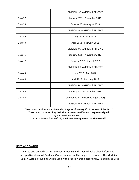|                                                                                                                                                                                                                                                                                                              | <b>DIVISION 1 CHAMPION &amp; RESERVE</b> |  |
|--------------------------------------------------------------------------------------------------------------------------------------------------------------------------------------------------------------------------------------------------------------------------------------------------------------|------------------------------------------|--|
| Class 37                                                                                                                                                                                                                                                                                                     | January 2019 - November 2018             |  |
| Class 38                                                                                                                                                                                                                                                                                                     | October 2018 - August 2018               |  |
|                                                                                                                                                                                                                                                                                                              | DIVISION 2 CHAMPION & RESERVE            |  |
| Class 39                                                                                                                                                                                                                                                                                                     | July 2018 - May 2018                     |  |
| Class 40                                                                                                                                                                                                                                                                                                     | April 2018 - February 2018               |  |
|                                                                                                                                                                                                                                                                                                              | DIVISION 3 CHAMPION & RESERVE            |  |
| Class 41                                                                                                                                                                                                                                                                                                     | January 2018 - November 2017             |  |
| Class 42                                                                                                                                                                                                                                                                                                     | October 2017 - August 2017               |  |
|                                                                                                                                                                                                                                                                                                              | DIVISION 4 CHAMPION & RESERVE            |  |
| Class 43                                                                                                                                                                                                                                                                                                     | July 2017 - May 2017                     |  |
| Class 44                                                                                                                                                                                                                                                                                                     | April 2017 - February 2017               |  |
|                                                                                                                                                                                                                                                                                                              | DIVISION 5 CHAMPION & RESERVE            |  |
| Class 45                                                                                                                                                                                                                                                                                                     | January 2017 - November 2016             |  |
| Class 46                                                                                                                                                                                                                                                                                                     | October 2016 - August 2016 (or older)    |  |
|                                                                                                                                                                                                                                                                                                              | <b>DIVISION 6 CHAMPION &amp; RESERVE</b> |  |
| ** Cows must be older than 30 months of age as of January 1 <sup>st</sup> of the year of the Fair**<br>** Cows must have a calf by their side or have a certificate of pregnancy signed<br>by a licensed veterinarian**<br>** If calf is by side for cow/calf, it will only be eligible for this show only** |                                          |  |

#### **BRED AND OWNED**

1. The Bred and Owned class for the Beef Breeding and Steer will take place before each prospective show. All Bred and Owned animals will be judged in this class. The Modified Danish System of judging will be used with prizes awarded accordingly. To qualify as Bred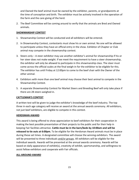and Owned the beef animal must be owned by the exhibitor, parents, or grandparents at the time of conception and birth. The exhibitor must be actively involved in the operation of the farm and the care giving of the herd.

2. The Beef Committee will be coming around to verify that the animals are Bred and Owned animals.

#### **SHOWMANSHIP CONTEST**

- 1. Showmanship Contest will be conducted and all exhibitors will be entered.
- 2. In Showmanship Contest, contestants must show his or own animal. No one will be allowed to participate unless they have an official entry in the show. Exhibitor of Chapter or Club animal may compete in the showmanship contest.
- 3. Steers only A steer exhibitor may use another exhibitor's animal for showmanship if his or her steer does not make weight. If we meet the requirement to have a steer showmanship, the exhibitor will only be allowed to participate in this showmanship class. The steer must come across the official scales at the final weigh-in for the exhibitor to be eligible for this. The exhibitor has until Friday at 12:00pm to come to the beef chair with the Owner of the other animal.
- 4. Exhibitors with more than one beef animal may choose their best animal to compete in the Showmanship Contest.
- 5. A separate Showmanship Contest for Market Steers and Breeding Beef will only take place if there are 28 steers weighed in.

#### **CATTLEMAN'S CONTEST**

A written test will be given to judge the exhibitor's knowledge of the beef industry. The top three in each age category will receive an award at the annual awards ceremony. All exhibitors, not just beef exhibitors, are eligible to compete in this contest.

#### **HERDSMAN AWARD**

This award is being offered to show appreciation to beef exhibitors for their cooperation in making the best possible presentation of their projects to the public and for their help in keeping Fair facilities attractive. **Cattle must be in the barn/beds by 10:00am and will be released to tie outs at 6:00pm.** To be eligible for the Herdsman Award animals must be in place during these set times. A designated committee will choose the winning exhibitors. The award will be presented to three individuals and/or groups. All exhibitors will be eligible for the individual awards. Awards will be presented at the annual awards ceremony. Awards will be based on daily appearance of exhibit(s), creativity of exhibit, sportsmanship, and willingness to assist fellow exhibitors and cooperate with Fair officials.

#### **ALL-AROUND AWARD**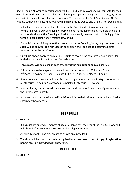Beef Breeding All-Around consists of heifers, bulls, and mature cows and will compete for their own All-Around award. Points will be awarded to participants placing(s) in each category and/or class within a show for which awards are given. The categories for Beef Breeding are: On Foot Placing, Cattleman's, Record Book, Showmanship, Bred & Owned and Grand & Reserve Placing.

- 1. Individuals exhibiting more than 1 animal in the Breeding division may only receive points for their highest placing animal. For example: one individual exhibiting multiple animals in all three divisions of the Breeding Animal Show may only receive "on-foot" placing points for their best placing heifer, mature cow, or bull.
- 2. For individuals exhibiting more than one animal in the Breeding Show, only one record book score will be allowed. The highest scoring or placing will be used to determine points awarded in the Best All-Around.
- 3. Only **blue** ribbon awarded animals are eligible to receive the "on-foot" placing points for both the class and in the Bred and Owned contest.
- 4. **Top 5 places will be placed in each category if the exhibitor or animal qualifies**.
- 5. Points within each category or class will be awarded as follows:  $1<sup>st</sup>$  Place = 5 points;  $2<sup>nd</sup>$  Place = 4 points;  $3<sup>rd</sup>$  Place = 3 points  $4<sup>th</sup>$  Place = 2 points,  $5<sup>th</sup>$  Place = 1 point
- 6. Bonus points will be awarded to individuals that place in more than 3 categories as follows: 5 Categories = 4 points; 4 Categories = 3 points; 3 Categories = 2 points
- 7. In case of a tie, the winner will be determined by showmanship and then highest score in the Cattleman's Contest.
- 8. Showmanship points are included in All-Around for each division no matter what animal is shown for showmanship.

#### **BEEF BULLS**

#### **ELIGIBILITY**

- 1. Bulls must not exceed 30 months of age as of January 1, the year of the Fair. Only weaned bulls born before September 30, 2021 will be eligible to show.
- 2. All bulls 12 months and older must be shown on a nose lead.
- 3. The show will be open to all bulls recognized by a breed association. **A copy of registration papers must be provided with entry form**.

#### **BEEF HEIFER**

#### **ELIGIBILITY**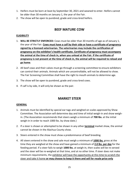- 1. Heifers must be born at least by September 30, 2021 and weaned to enter. Heifers cannot be older than 30 months on January 1, the year of the Fair.
- 2. The show will be open to purebred, grade and cross-bred heifers.

#### **BEEF MATURE COW**

#### **ELIGIBILITY**

- 1. **WILL BE STRICTLY ENFORCED:** Cows must be older than 30 months of age as of January 1, the year of the Fair. **Cows must have a calf by their side or have a certificate of pregnancy signed by a licensed veterinarian. The veterinarian may include the certification of pregnancy on the exhibitor's health certificate. Certificate of pregnancy must accompany the animal at the time of check in, when you unload at the Fair. If the certificate of pregnancy is not present at the time of check in, the animal will be required to reload and go home**.
- 2. All beef cows and their calves must go through a screening committee to ensure exhibitors can control their animals. Animals which are uncontrollable, will not be allowed to show. The Fair Screening Committee shall have the right to mouth animals to determine age.
- 3. The show will be open to purebred, grade and cross-bred cows.
- 4. If calf is by side, it will only be shown as the pair.

#### **MARKET STEER**

#### **GENERAL**

- 1. Animals must be identified by special ear tags and weighed on scales approved by Show Committee. The Association will determine day and time of initial weigh-in and show weighin. (The Association recommends that steers weigh a minimum of **700 lbs.** at the initial weigh-in in order to reach 1000 lbs. by show date.)
- 2. If a steer is shown or attempted to be shown in any other **terminal** market show, the animal cannot be shown in the Alachua County show.
- 3. Steers entered in the show must show a predominance of beef breeding.
- 4. All steers entered in the show and sale must weigh a minimum of **1000 lbs.** gross at the time they are weighed at the show and have gained a minimum of **2.0 lbs. per day** for the feeding period. If a steer fails to weigh **1000 lbs.** at weigh-in, then scales will be re-zeroed and the steer will be re-weighed at that time, and at no other time. If steer does not make minimum requirements, the exhibitor will have the opportunity at this time to scratch the steer and take it home **or may choose to keep it there and sell for resale price only**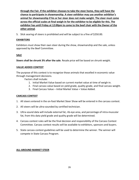**through the Fair. If the exhibitor chooses to take the steer home, they will have the chance to participate in showmanship. A steer exhibitor may use another exhibitor's animal for showmanship if his or her steer does not make weight. The steer must come across the official scales at final weigh-in for the exhibitor to be eligible for this. The exhibitor has until Friday at 12:00pm to come to the beef chair with the Owner of the other animal**.

5. Slick searing of steers is prohibited and will be subject to a fine of \$250.00.

#### **EXHIBITORS**

Exhibitors must show their own steer during the show, showmanship and the sale, unless approved by the Beef Committee.

#### **SALE**

**Steers shall be shrunk 3% after the sale**. Resale price will be based on shrunk weight.

#### **VALUE ADDED CONTEST**

The purpose of this contest is to recognize those animals that excelled in economic value through management decisions.

Factors shall include:

- 1. Initial Market Value based on current market value at time of weigh-in.
- 2. Final carcass value based on yield grade, quality grade, and final carcass weight.
- 3. Final Carcass Value Initial Market Value = Value Added.

#### **CARCASS CONTEST**

- 1. All steers entered in the on-foot Market Steer Show will be entered in the carcass contest.
- 2. All steers will be ultra-sounded by certified technician.
- 3. Ultra-sound data will include external fat, rib-eye area, and percentage of intra-muscular fat, from this data yield grade and quality grade will be determined.
- 4. Carcass contest rules will be the final decision and responsibility of the Carcass Contest Committee. Carcass contest results will be available to exhibitors, sponsors and buyers.
- 5. State carcass contest guidelines will be used to determine the winner. The winner will compete in State Carcass Program.

#### **ALL-AROUND MARKET STEER**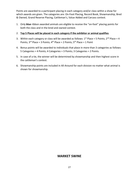Points are awarded to a participant placing in each category and/or class within a show for which awards are given. The categories are: On-Foot Placing, Record Book, Showmanship, Bred & Owned, Grand Reserve Placing, Cattleman's, Value Added and Carcass contest.

1. Only **blue** ribbon awarded animals are eligible to receive the "on-foot" placing points for both the class and in the bred and owned contest.

#### 2. **Top 5 Places will be placed in each category if the exhibitor or animal qualifies**.

- 3. Within each category or class will be awarded as follows:  $1<sup>st</sup>$  Place = 5 Points;  $2<sup>nd</sup>$  Place = 4 Points;  $3^{rd}$  Place = 3 Points;  $4^{th}$  Place = 2 Points;  $5^{th}$  Place = 1 Point
- 4. Bonus points will be awarded to individuals that place in more than 3 categories as follows: 5 Categories = 4 Points; 4 Categories = 3 Points; 3 Categories = 2 Points.
- 5. In case of a tie, the winner will be determined by showmanship and then highest score in the cattleman's contest.
- 6. Showmanship points are included in All-Around for each division no matter what animal is shown for showmanship.

#### **MARKET SWINE**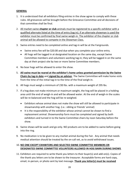#### **GENERAL**

- 1. It is understood that all exhibitors filing entries in the show agree to comply with these rules. All grievances will be brought before the Grievance Committee and all decisions of that committee shall be final.
- 2. All market swine **chapter or club** animals must be registered to a specific exhibitor with a qualified alternate listed at the time of entry (tag-in). If an alternate showman is used the exhibitor must be confirmed by final swine weigh-in. The exhibitor of the chapter or club animal will be allowed to compete in the Showman Class.
- 3. Swine entries need to be completed online and tag-in will be at the Fairgrounds.
	- Swine entry fee will be \$20.00 and due when you complete your online entry.
	- All hogs will be tagged in at designated location on the same day, except Swine Committee members and volunteers working tag-in; they will be tagged in on the same day at their project site by two or more Swine Committee members.
- 4. No boar hogs will be allowed to enter the show.
- 5. **All swine must be reared at the exhibitor's home unless granted permission by the Swine Chairs by tag-in date** and **signed by an advisor**. The Swine Committee will make home visits from the time of the initial tag-in to the time of the final weigh-in.
- 6. All hogs must weigh a minimum of 230 lbs. with a maximum weight of 295 lbs.
- 7. If a hog does not make minimum or maximum weight, the hog will be placed in a holding area until the end of weigh-in and will be allowed water. At the end of weigh-in the scales will be re-balanced and the hog will be re-weighed.
	- Exhibitors whose animal does not make the show will still be allowed to participate in showmanship with another hog. (i.e.: sibling or friends' animal)
	- It is the responsibility of the exhibitor whose animal cannot be shown to find a replacement animal. Showmanship form must be completed and signed by both exhibitors and turned in to the Swine Committee chairs by noon Saturday before the show.
- 8. Swine shows will be wash and go only. NO products are to be added to swine before going into the ring.
- 9. No medication is to be given to any market animal during the Fair. Any animal that needs medical attention should be treated by the on-call vet, as to avoid withdrawal issues.

#### 10. **NO ONE EXCEPT EXHIBITORS AND SELECTED SWINE COMMITTEE MEMBERS OR DESIGNATED SWINE COMMITTEE VOLUNTEERS ALLOWED IN HOG BARN DURING SHOWS**.

11. Exhibitors are required to write thank you letters to their buyer(s) and add-on(s). Copies of the thank you letters are to be shown to the treasurer. Acceptable forms are hard copy, email, in-person, or photo sent by text message. **Thank you letter(s) must be received**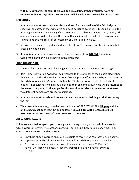#### **within 45 days after the sale. There will be a \$50.00 fine if thank you letters are not received within 45 days after the sale. Check will be held until received by the treasurer**.

#### **EXHIBITORS**

- 1. All exhibitors must keep their area clean and neat for the duration of the Fair. A sign-up sheet will be posted in the swine area and must be signed twice daily. Meaning once in the morning and once in the evening. If you are not able to take care of your area you may ask another exhibitor to do it for you, the committee chair must be made of the arrangements. Failure to do this will result in enforcement of General Fair Rule #12.
- 2. All hogs are expected to be clean and ready for show. They may be washed in designated areas only, not in pens.
- 3. If there is a show in the show ring other than the swine show, **NO ONE** but a Swine Committee member will be allowed in the swine area.

#### **JUDGING AND SALE**

- 1. The Modified Danish System of judging will be used with prizes awarded accordingly.
- 2. Best Home-Grown Hog Award will be presented to the exhibitor of the highest placing hog that was farrowed at the exhibitor's home (FFA chapter and/or 4-H club) by a sow owned by the exhibitor or exhibitor's immediate family (FFA chapter or 4-H club). If the highest placing is not evident from individual placings, then all home-grown hogs will be returned to the arena to be placed by the judge. For this award to be relevant there must be at least two different homegrown breeders exhibiting.
- 3. All exhibitors must provide and use an automatic waterer for their hog at all times during the Fair.
- 4. We expect exhibitors to groom their own animals. NO PROFESSIONALS. **Clipping – all hair on the hogs must be at least ½" and no less. A \$50.00 FINE WILL BE ASSESSED FOR ANYTHING FOR LESS THAN ½". NO CLIPPING AT THE FAIR!**

#### **ALL-AROUND AWARD**

Points are awarded to a participant placing in each category and/or class within a show for which awards are given. The categories are: On-Foot Placing, Record Book, Showmanship, Carcass, Swine Sense, Grand or Reserve.

- a. Only blue ribbon awarded animals are eligible to receive the "on-foot" placing points.
- b. Top 5 Places will be placed in each category if the exhibitory or animal qualifies.
- c. Points within each category or class will be awarded as follows:  $1<sup>st</sup>$  Place = 5 Points;  $2^{nd}$  Place = 4 Points;  $3^{rd}$  Place = 3 Points;  $4^{th}$  Place = 2 Points;  $5^{th}$  Place  $= 1$  Point.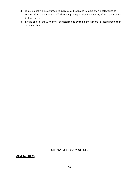- d. Bonus points will be awarded to individuals that place in more than 3 categories as follows:  $1^{st}$  Place = 5 points;  $2^{nd}$  Place = 4 points;  $3^{rd}$  Place = 3 points;  $4^{th}$  Place = 2 points;  $5<sup>th</sup>$  Place = 1 point.
- e. In case of a tie, the winner will be determined by the highest score in record book, then showmanship.

#### **ALL "MEAT TYPE" GOATS**

#### **GENERAL RULES**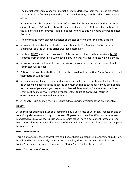- 1. The market wethers may show as market animals. Market wethers must be no older than 12 months old at final weigh-in at the show. Only does may enter breeding shows; no bucks allowed.
- 2. All animals must be prepped for show before arrival at the Fair. Market wethers must be clipped to within 3/8" or less above the knees and hock joints. All horns shall be tipped to the size of a dime or removed. Animals not conforming to this will not be allowed to enter the barn.
- 3. The committee may visit each exhibitor or chapter any time after the entry deadline.
- 4. All goats will be judged accordingly to meet standards. The Modified Danish System of judging will be used with the prizes awarded accordingly.
- 5. Hay bags **MUST** have 1-inch holes or less (also known as slow feed hay bags) and **MUST** be removed from the pens by 8:00pm each night. No other hay bags or nets will be allowed.
- 6. All grievances will be brought before the grievance committee and all decisions of that committee will be final.
- 7. Petitions for exceptions to these rules may be considered by the Goat Show Committee and their decision will be final.
- 8. All exhibitors must keep their area clean, neat and safe for the duration of the Fair. A signup sheet will be posted in the goat area and must be signed twice daily. If you are not able to take care of your area, you may ask another exhibitor to do it for you; the committee chair must be made aware of the arrangements. **Failure to do this will result in enforcement of the General Fair Rule #14**.
- 9. All chapter/club animals must be registered to a specific exhibitor at the time of entry.

#### **HEALTH**

All animals for exhibition must be accompanied by a Certificate of Veterinary Inspection and be free of any abscesses or contagious diseases. All goats must meet identification requirements mandated by USDA. All goats must have a scrapies tag OR have a permanent tattoo of breed registration identification number. A copy of the breed registration certificate must accompany tattooed animals.

#### **GOAT SKILL-A-THON**

This is a knowledge-based contest that could cover basic maintenance, management, nutrition, breeds and health. The yearly theme is determined by Florida State Livestock Skill-a-Thon topics. Study materials can be found on the Florida State Fair livestock website.

#### **GOAT "ALL AROUND" AWARD**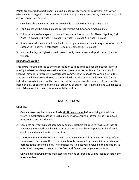Points are awarded to participants placing in each category and/or class within a show for which awards are given. The categories are: On-Foot placing, Record Book, Showmanship, Skilla-Thon, Grand and Reserve.

- 1. Only blue ribbon awarded animals are eligible to receive On-Foot placing points.
- 2. Top 5 places will be placed in each category if the exhibitor or animal qualifies.
- 3. Points within each category or class will be awarded as follows: 1st Place = 5 points; 2nd Place = 4 points; 3rd Place = 3 points; 4th Place = 2 points; 5th Place = 1 point.
- 4. Bonus point will be awarded to individuals that place in more than 3 categories as follows: 5 categories = 4 points; 4 categories = 3 points; 3 categories = 2 points.
- 5. In case of a tie, the highest score in record book, then showmanship will determine the winner.

#### **HERDSMAN AWARD**

This award is being offered to show appreciation to goat exhibitors for their cooperation in making the best possible presentation of their projects to the public and for their help in keeping Fair facilities attractive. A designated committee will choose the winning exhibitors. The award will be presented to up to three individuals. All exhibitors will be eligible for the individual awards. Awards will be presented at the annual awards ceremony. Awards will be based on daily appearance of exhibit(s), creativity of exhibit, sportsmanship, and willingness to assist fellow exhibitors and cooperate with Fair officials.

#### **MARKET GOAT**

#### **GENERAL**

- 1. Only wethers may be shown. Animals MUST be castrated before arriving at the initial weigh-in. Castration must be in such a manner as to ensure all scrotal tissue is removed prior to final entry at the Fair.
- 2. Complete entry forms must accompany animal. Wethers will receive ACYFLS ear tags at initial weigh-in and should be 4-8 months of age and weigh 45-75 pounds to be of ideal condition and market weight by Fair time.
- 3. The Homegrown Market Goat Class will require a minimum of three entries. To qualify as Homegrown; the dam of the wether must have been owned by the exhibitor or exhibitor's parents at the time of kidding. The exhibitor must be actively involved in the operation. To enter the Homegrown class, mark the Bred and Owned box on your entry form.
- 4. Only animals showing meat characteristics may be entered and will be judged according to meat standards.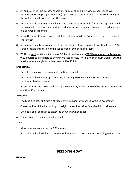- 5. All animals MUST be in show condition. Animals should be washed, sheared, hooves trimmed, horns tipped (or debudded) upon arrival to the Fair. Animals not conforming to this will not be allowed to enter the barn.
- 6. Exhibitors will keep their animal and area clean and presentable for public display. Animals shown must be in good health, clean and have proper hoof care. No glue type adhesives or oils allowed in grooming.
- 7. All wethers must be carrying all milk teeth at final weigh-in. Committee reserves the right to check teeth.
- 8. All animals must be accompanied by an Certificate of Veterinarian Inspection listing USDA Scrapies tag identification and must be free of evidence of disease.
- 9. Wethers **must** weigh a minimum of 50 lbs. at final weigh-in **WITH a minimum daily gain of 0.10 pounds** to be eligible to show in market classes. There is no maximum weight, but the maximum sale weight for all wethers will be 125 lbs.

#### **EXHIBITORS**

- 1. Exhibitors must own the animal at the time of initial weigh-in.
- 2. Exhibitors will wear appropriate attire according to **General Rule #8** and act in a sportsmanship like manner.
- 3. All entries must be shown and sold by the exhibitor, unless approved by the Sale committee and Goat Chairperson.

#### **JUDGING**

- 1. The Modified-Danish System of judging will be used, with prizes awarded accordingly.
- 2. Classes will be divided according to weight determined after final check-in of all animals.
- 3. Exhibitors shall be ready to enter the show ring when called.
- 4. The decision of the judge shall be final.

#### **SALE**

- 1. Maximum sale weight will be **125 pounds**.
- 2. All market animal exhibitors are required to write a thank you note, according to Fair rules.

#### **BREEDING GOAT**

#### **GENERAL**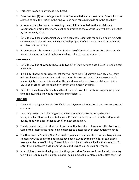- 1. This show is open to any meat-type breed.
- 2. Does over two (2) years of age should have freshened/kidded at least once. Does will not be allowed to take their kid(s) in the ring. All kids must remain ringside or in the goat barn.
- 3. All animals must be owned or leased by the exhibitor on or before the last Friday in November. An official lease form must be submitted to the Alachua County Extension Office by December 1, 2021.
- 4. Exhibitors will keep their animal and area clean and presentable for public display. Animals shown must be in good health and clean with proper hoof care. No glue type adhesives or oils allowed in grooming.
- 5. All animals must be accompanied by a Certificate of Veterinarian Inspection listing scrapies tag identification and must be free of evidence of abscesses or diseases.

#### **EXHIBITORS**

- 1. Exhibitors will be allowed to show up to two (2) animals per age class. Five (5) breeding goat maximum.
- 2. If exhibitor knows or anticipates that they will have TWO (2) animals in an age class, they will be allowed to have a stand-in showman for their second animal. It is the exhibitor's responsibility to line up this stand-in. The stand-in must be a fellow youth Fair exhibitor, MUST be in official dress and able to control the animal in the ring.
- 3. Exhibitors must have all animals and handlers ready to enter the show ring at appropriate time to ensure the show runs smoothly and efficiently.

#### **JUDGING**

- 1. Show will be judged using the Modified Danish System and selection based on structure and correctness.
- 2. Does may be separated for judging purposes into Breeding Stock Does, which are recognized Full Blood and high % does and Commercial Does, or crossbred breeding stock quality does with Boer influence used for meat production.
- 3. The classes will determined by the show committee based on information off entry forms. Committee reserves the right to make changes to classes for even distribution of entries.
- 4. The Homegrown Breeding Goat Class will require a minimum of three entries. To qualify as Homegrown, the dam of the doe must have been owned by the exhibitor or exhibitor's parents at the time of kidding. The exhibitor must be actively involved in the operation. To enter the Homegrown class, mark the Bred and Owned box on your entry form.
- 5. An exhibition class for doelings and bucklings born after December 1 may be held. No entry fee will be required, and no premiums will be paid. Goat kids entered in this class must not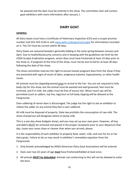be weaned and the dam must be entered in the show. The committee chair will contact goat exhibitors with more information after January 1.

#### **DAIRY GOAT**

#### **GENERAL**

All Dairy Goats must have a Certificate of Veterinary Inspection (CVI) and a scrapie premise number (call 352-333-3120 or visit [www.aphis.usda.gov/vs/scrapie](http://www.aphis.usda.gov/vs/scrapie) for information) recorded on it. The CVI must be current within 90 days.

Dairy Goats are seasonal breeders generally kidding in the early spring between January and April. Due to health/biosecurity concerns and in keeping with the guidelines set forth by the USDA Scrapie Eradication program, senior does must have freshened at least 14 days prior to the show or, if pregnant at the time of the show, must not be due to kid for at least 30 days following the date of the show.

The show committee reserves the right to excuse heavily pregnant does from the show if they are presented with signs of onset of labor, pregnancy toxemia, hypocalcemia, or other health issues.

All animals must be clipped/groomed prior to arrival to the Fair. You are not required to fully body clip for this show, but the animal must be washed and well groomed, feet must be trimmed, and if in milk, the udder must be free of excess hair. Minor touch ups will be permitted (such as udders, top line, legs) but no full body clipping will be allowed at the Fairgrounds.

Over-uddering of senior does is discouraged. The judge has the right to ask an exhibitor to relieve the udder on any animal they feel is over-uddered.

All milk must be disposed of properly. State law prohibits the consumption of raw milk. The show chairperson will designate where to dump milk.

This is a one-day show (tailgate show), and you may set up your own pens. However, all hay and debris MUST be removed and placed in the proper receptacle prior to your departure that day. Leave your areas clean or cleaner than when you arrived, please.

It is the responsibility of each exhibitor to properly feed, water, milk, and care for his or her dairy goats. Failure to do so may result in exhibitor's immediate expulsion from the Fairgrounds.

- 1. Only breeds acknowledged by ADGA (American Dairy Goat Association) will be entered.
- 2. Does over two (2) years of age **must** have freshened/kidded at least once.
- 3. All animals **MUST be debudded**. Animals not conforming to this will not be allowed to enter the barn.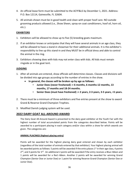- 4. An official lease form must be submitted to the ACYF&LS by December 1, 2021. Address: P.O. Box 12114, Gainesville, FL 32604.
- 5. All animals shown must be in good health and clean with proper hoof care. NO outside grooming products allowed (i.e., Show Sheen, spray-on coat conditioners, hoof oil, horn oil, etc.).

#### **EXHIBITORS**

- 1. Exhibitors will be allowed to show up to five (5) breeding goats maximum.
- 2. If an exhibitor knows or anticipates that they will have several animals in an age class, they will be allowed to have a stand-in showman for their additional animals. It is the exhibitor's responsibility to line up this stand-in and they MUST be in official dress and able to control the animal in the ring.
- 3. Exhibitors showing does with kids may not enter class with kids. All kids must remain ringside or in the goat tent.

#### **JUDGING**

- 1. After all animals are entered, show officials will determine classes. Classes and divisions will be divided into age groups according to the number of entries in the show.
	- **In general, the classes will be broken up by age as follows:**
		- **Junior Does (never freshened) :< 6 months, 6 months-12 months, 13 months, 17 months and 18-24 months.**
		- **Senior Does (must have freshened) :< 2 years, 2-3 years, 3-5 years, >5 years.**
- 2. There must be a minimum of three exhibitors and five entries present at the show to award Grand & Reserve Grand Champion Trophies.
- 3. Modified Danish judging system will be used.

#### **2022 DAIRY GOAT ALL-AROUND AWARD**

The Dairy Goat All-Around Award is presented to the dairy goat exhibitor at the Youth Fair with the highest number of total accumulated points from the categories described below. Points will be awarded to a participant placing in each category and/or class within a show for which awards are given. The categories are:

#### **ANIMAL PLACINGS (highest placing entry)**

Points will be awarded for the highest placing dairy goat entered and shown by each exhibitor (regardless of the total number of animals entered by that exhibitor). Your highest placing animal will be awarded points as follows: 5 points will be awarded if the entry places  $1<sup>st</sup>$  in their age class, 4 points  $2^{nd}$ , and 3 points for 3<sup>rd</sup>. An additional 2 points will be awarded if the entry receives a Blue ribbon and 1 points will be awarded for a Red ribbon. Another 2 points will be awarded for winning Grand Champion (Senior Doe or Junior Doe) or 1 point for winning Reserve Grand Champion (Senior Doe or Junior Doe).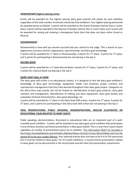#### **HOMEGROWN (highest placing entry)**

Points will be awarded for the highest placing dairy goat entered and shown by each exhibitor (regardless of the total number of animals entered by that exhibitor). Your highest placing animal will be awarded points as follows: 5 points will be awarded to the Grand Champion (Senior Doe or Junior Doe), 4 points will be awarded to the Reserve Champion (Senior Doe or Junior Doe), and 2 points will be awarded for raising and showing a Homegrown Dairy Goat that does not place either Grand or Reserve.

#### **SHOWMANSHIP**

Showmanship is how well you present yourself and your animal to the judge. This is based on your appearance and your animal's appearance, sportsmanship, and dairy goat knowledge. 5 points will be awarded for 1<sup>st</sup> place in Showmanship, 4 points for  $2^{nd}$  place, 3 points for  $3^{rd}$  place, and 2 points for participating in Showmanship but not placing in the top 3.

#### **RECORD BOOK**

5 points will be awarded for a 1<sup>st</sup> place Record Book, 4 points for 2<sup>nd</sup> place, 3 points for 3<sup>rd</sup> place, and 2 points for a Record Book not placing in the top 3.

#### **DAIRY GOAT SKILL-A-THON**

The dairy goat skill-a-thon is an educational contest. It is designed to test the dairy goat exhibitor's knowledge of dairy goat terminology, equipment, health care practices, proper nutrition and reproduction management that they have learned throughout their dairy goat project. Categories on the skill-a-thon may include, but not be limited to: identification of dairy goat products, dairy goat nutrition and management, identification of milking and dairy equipment; dairy goat breeds and evaluation of breed characteristics, dairy goat physiology, etc.

5 points will be awarded for 1<sup>st</sup> place in the Dairy Goat Skill-a-thon, 4 points for 2<sup>nd</sup> place, 3 points for 3<sup>rd</sup> place, and 2 points for participating in the Dairy Goat Skill-a-thon but not placing in the top 3.

#### **ORAL PRESENTATIONS: PUBLIC SPEAKING, DEMONSTRATIONS, AND/OR ILLUSTRATED OR EDUCATIONAL TALKS RELATED TO DAIRY GOATS**

Public speaking, demonstrations, illustrated or educational talks are an important part of a wellrounded youth exhibitor. 5 points will be awarded to any dairy goat youth exhibitor that participates in any of these activities and whose presentation is dairy goat related. This is a one-time 5-point award regardless of number of presentations given by an exhibitor. This information MUST be recorded in the *Project Accomplishment and Activities (Optional Bonus Section)* of your Record Book and must be signed off on by your Leader/Advisor. Your selected activity does not have to be 4-H or FFA sponsored but it must be related to dairy goats. For 4-H youth exhibitors, a County Events presentation related to dairy goats can be documented in the record book and will meet the presentation requirement.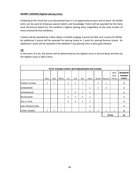#### **EXHIBIT JUDGING (highest placing entry)**

Exhibiting at the Youth fair is an educational tool; it is an opportunity to learn and to teach. An exhibit entry can be used to showcase special talents and knowledge. Points will be awarded for the Dairy Goat All-Around Award for the exhibitor's highest placing entry (regardless of the total number of items entered by that exhibitor).

5 points will be awarded for a Blue ribbon in Exhibit Judging, 4 points for Red, and 3 points for White. An additional 2 points will be awarded for placing Grand or 1 point for placing Reserve Grand. An additional 1 point will be awarded if the exhibitor's top placing entry is dairy goat themed.

#### **TIE**

In the event of a tie, the winner will be determined by the highest score in Record Book and then by the highest score in Skill-a-thon.

|                           |                          |                          |                          |     |     |                          | TOTAL POSSIBLE POINTS WITH BREAKDOWN PER PLACING |                          |                          |                          |                                                    |
|---------------------------|--------------------------|--------------------------|--------------------------|-----|-----|--------------------------|--------------------------------------------------|--------------------------|--------------------------|--------------------------|----------------------------------------------------|
|                           | Blue                     | Red                      | White                    | 1st | 2nd | 3rd                      | Other                                            | Grand                    | Reserve                  | Dairy<br>Goat<br>Theme   | <b>MAXIMUM</b><br><b>POSSIBLE</b><br><b>POINTS</b> |
| <b>ANIMAL PLACINGS</b>    | 2                        | $\mathbf{1}$             |                          | 5   | 4   | 3                        |                                                  | $\overline{2}$           | 1                        |                          | 9                                                  |
| <b>HOMEGROWN</b>          | $\overline{\phantom{a}}$ | $\overline{\phantom{0}}$ | $\overline{\phantom{0}}$ | ٠   | ۰   | $\overline{\phantom{a}}$ | 2                                                | 5                        | 4                        | $\overline{\phantom{a}}$ | 5                                                  |
| <b>SHOWMANSHIP</b>        |                          |                          | -                        | 5   | 4   | 3                        | $\overline{2}$                                   | ۰                        |                          | $\overline{\phantom{a}}$ | 5                                                  |
| <b>RECORD BOOK</b>        |                          |                          |                          | 5   | 4   | 3                        | $\overline{2}$                                   | $\overline{\phantom{0}}$ | $\overline{\phantom{0}}$ | $\overline{\phantom{0}}$ | 5                                                  |
| <b>SKILL-A-THON</b>       |                          | ٠                        | ٠                        | 5   | 4   | 3                        | $\overline{2}$                                   | $\overline{\phantom{a}}$ | $\overline{\phantom{0}}$ | $\overline{\phantom{0}}$ | 5                                                  |
| <b>ORAL PRESENTATIONS</b> | $\overline{\phantom{0}}$ |                          |                          |     |     | $\overline{\phantom{a}}$ | 5                                                | $\overline{\phantom{0}}$ |                          | $\overline{\phantom{0}}$ | 5                                                  |
| <b>EXHIBIT JUDGING</b>    | 5                        | 4                        | 3                        | -   | -   | ٠                        | 2                                                | 2                        | 1                        | 1                        | 8                                                  |
|                           |                          |                          |                          |     |     | <b>TOTAL</b>             |                                                  | 42                       |                          |                          |                                                    |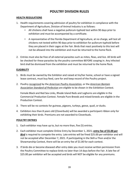#### **POULTRY DIVISION RULES**

#### **HEALTH REGULATIONS**

- 1. Health requirements covering admission of poultry for exhibition in compliance with the Department of Agriculture, Division of Animal Industry is as follows:
	- All chickens shall have a negative pullorum-typhoid test within 90 days prior to exhibition and must be accompanied by a certificate.
	- A representative of the Florida Department of Agriculture, at no charge, will test all chickens not tested within 90 days prior to exhibition for pullorum-typhoid before they are placed in their cages at the Fair. Birds that react positively to this test will not be allowed into the exhibition and must be returned to the home flock.
- 2. Entries must also be free of all external parasites such as mites, fleas, and lice. All birds will be checked for these parasites by the poultry committee BEFORE cooping in. Any infected bird shall be dismissed from the exhibition and must be returned to the home flock.

#### **ELIGIBILITY**

- 1. Birds must be owned by the Exhibitor and raised at his/her home, school or have a signed lease contract, must buy feed, care for and keep record of the Poultry project.
- 2. Poultry recognized by the *American Poultry Association,* or the *American Bantam Association Standard of Perfection* are eligible to be shown in the Exhibition Contest.

Female Black and Red Sex-Links, Rhode Island Reds and Leghorns are eligible in the Commercial Production Contest. Female Pure-Breeds and mixed-breeds are eligible in the Production Contest.

- 3. There will be no contests for guineas, pigeons, turkeys, geese, quail, or ducks.
- 4. Exhibitors less than 8 years old (Cloverbuds) will be awarded a participant ribbon only for exhibiting their birds. Premiums are not awarded to Cloverbuds.

#### **POULTRY ENTRIES**

- 1. Each exhibitor may have up to, but no more than, five (5) entries.
- 2. Each exhibitor must complete Online Entry by December 1, 2021; **entry fee of \$5.00** *per Bird* is required to compete the entry. Late entries will be fined \$25.00 per exhibitor and will not be accepted after December 7, 2021. If participating in the Skill-a-Thon and/or the Showmanship Contest, there will be an entry fee of \$1.00 for each contest.
- 3. If birds die or become diseased after entry date you must receive written permission from the Poultry Committee to replace birds no later than 14 days before the Fair. A late fee of \$25.00 per exhibitor will be accepted and birds will NOT be eligible for any premiums.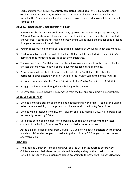4. Each exhibitor must turn in an **entirely completed record book** by 11:30am before the exhibitor meeting on Friday March 4, 2022 at Exhibitor Check-in. If Record Book is not turned in the Poultry entry will not be exhibited. No group record books will be accepted for competition.

#### **GENERAL INFORMATION FOR DURING THE FAIR**

- 1. Poultry must be fed and watered twice a day by 10:00am and 8:00pm (except Sunday by 7:00pm). Cage cards found above each cage must be initialed each time the birds are fed and watered. If cards are not initialed a first warning will be given and if it happens a second time your premium will be withheld.
- 2. Poultry cages must be cleaned out and bedding replaced by 10:00am Sunday and Monday.
- 3. Feed for poultry must be brought to the Fair. All feed will be labeled with the exhibitor's name and cage number and stored at back of exhibit area.
- 4. The Alachua County Youth Fair and Livestock Show Association will not be responsible for any loss that may occur but will exercise every reasonable care of exhibits.
- 5. Proceeds of anything that will be offered for sale at the Youth Fair, other than the participant's birds entered in the Fair, will go to the Poultry Committee of the ACYF&LS.

All donations accepted at the Youth Fair will go to the Poultry Committee of ACYF&LS.

- 6. All eggs laid by chickens during the Fair belong to the Owners.
- 7. Overly aggressive chickens will be removed from the Fair and premiums will be withheld.

#### **ARRIVAL AND RELEASE**

- 1. Exhibitors must be present at check in and put their birds in the cages. If exhibitor is unable to be there at check in, prior approval must be made with the Poultry Committee.
- 2. Exhibits will be received from 2:00pm 5:00pm on Friday March 4, 2022. All chickens must be properly housed by 6:00pm.
- 3. During the period of exhibition, no chickens may be removed except with the written consent of the Poultry Committee Chairman or his/her representative.
- 4. At the time of release of birds from 1:00pm 3:30pm on Monday, exhibitors will tear down and clean his/her chicken pens. If unable to pick up birds by 3:30pm you must secure an alternative plan.

#### **JUDGING**

1. The Modified Danish System of judging will be used with prizes awarded accordingly. Chickens are awarded a blue, red, or white ribbon depending on their quality. In the Exhibition category, the chickens are judged according to the *American Poultry Association*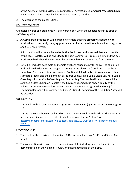or the *American Bantam Association Standard of Perfection.* Commercial Production birds and Production birds are judged according to industry standards.

2. The decision of the judges is final.

#### **POULTRY CONTESTS**

Champion awards and premiums will be awarded only when the judge(s) deem the birds of sufficient quality.

1. A. Commercial Production will include only female chickens primarily associated with production and currently laying eggs. Acceptable chickens are Rhode Island Reds, Leghorns, and Sex-Linked females.

B. Production will include all females, both mixed breed and purebred that are currently laying eggs. Rosettes will be awarded to the best Commercial Production Bird and the best Production bird. Then the best Overall Production bird will be selected from the two.

2. Exhibition includes both male and female chickens raised mainly for show. The exhibition birds will be divided into and judged according to the eleven (11) poultry classes: the 6 Large Fowl Classes are: American, Asiatic, Continental, English, Mediterranean, All Other Standard Breeds, and the 5 Bantam classes are: Game, Single Comb Clean Leg, Rose Comb Clean Leg, all other Comb Clean Leg, and Feather Leg. The best bird in each class will be awarded a Class Champion Rosette if the birds are deemed blue ribbon quality by the judge(s). From the Best-in-Class winners, only (1) Champion Large Fowl and one (1) Champion Bantam will be awarded and one (1) Grand Champion of the Exhibition Show will be awarded.

#### **SKILL-A-THON**

- 1. There will be three divisions Junior (age 8-10), Intermediate (age 11-13), and Senior (age 14- 18).
- 2. This year's Skill-a-Thon will be based on the State Fair's Poultry Skill-a-Thon. The State Fair has a study guide on their website. Study it to prepare for our Skill-a-Thon. [https://floridastatefairag.com/wp-content/uploads/2021/09/poultry-skillathon-manual-](https://floridastatefairag.com/wp-content/uploads/2021/09/poultry-skillathon-manual-2022.pdf)[2022.pdf](https://floridastatefairag.com/wp-content/uploads/2021/09/poultry-skillathon-manual-2022.pdf)

#### **SHOWMANSHIP**

- 1. There will be three divisions: Junior (age 8-10), Intermediate (age 11-13), and Senior (age 14-18).
- 2. The competition will consist of a combination of skills including handling their bird, a demonstration of knowledge of Poultry and their knowledge of their bird.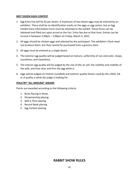#### **BEST DOZEN EGGS CONTEST**

- 1. Egg Entry Fee will be \$5 per dozen. A maximum of two dozen eggs may be entered by an exhibitor. There shall be no identification marks on the eggs or egg carton, but an Egg Exhibit Entry Information Form must be attached to the exhibit. These forms can be obtained and filled out upon arrival at the Fair. Entry fee due at that time. Entries can be turned in between 2:00pm – 5:00pm on Friday, March 4, 2022.
- 2. All eggs should be chicken eggs and selected by the participant. The exhibitor's flock need not produce them, but they cannot be purchased from a grocery store.
- 3. All eggs must be entered as a single dozen.
- 4. The exterior egg quality will be judged based on texture, uniformity of size and color, shape, soundness, and cleanliness.
- 5. The interior egg quality will be judged by the size of the air cell, the visibility and mobility of the yolk, and how clear and firm the egg white is.
- 6. Eggs will be judged on interior (candled) and exterior quality factors used by the USDA, AA or A quality is what the judge is looking for.

#### **POULTRY "ALL AROUND" AWARD**

Points are awarded according to the following criteria:

- 1. Birds Placing in Show
- 2. Showmanship placing
- 3. Skill-a-Thon placing
- 4. Record Book placing
- 5. Egg Contest placing

#### **RABBIT SHOW RULES**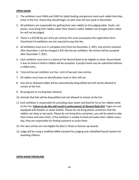#### **OPEN SHOW**

- 1. The exhibitor must OWN and CARE for (daily feeding and general care) each rabbit that they enter in the Fair. Ownership should begin no later than the last week in November.
- 2. All exhibitors are responsible for getting their own rabbits to the judging table. Youth, not adults, must bring their rabbits when their breed is called. Rabbits not brought when called for will not be judged.
- 3. There is a \$10.00 fee per entry per animal; this must accompany the registration form. Cloverbud 4-H exhibitors are not required to pay this fee.
- 4. All exhibitors must turn in complete entry form by December 1, 2021. Any entries received after December 1 will be charged a \$25 late fee per exhibitor. No entries will be accepted after December 7, 2021.
- 5. Each exhibitor must turn in a General Fair Record Book to be eligible to show. Record Book is due at check-in before rabbits will be accepted. A project book may be submitted without a rabbit entry.
- 6. Total entries per exhibitor are five. Limit of two pet class entries.
- 7. All rabbits must have an identification mark in their left ear.
- 8. Any sick or diseased rabbit will be automatically disqualified and will not be allowed to remain at the Fair.
- 9. No pregnant or nursing does allowed.
- 10. Animals that bite will be disqualified and not allowed to remain at the Fair.
- 11. Each exhibitor is responsible for providing clean water and feed for his or her rabbits while at the Fair. **Failure to do this will result in enforcement of General Rule #14**. Cages are not equipped with feeders or water bottles. Please do not bring plastic containers that the rabbits can chew or tip easily. Please do not bring dirty containers, you will be asked to take them home and clean them. If the exhibitor is unable to feed and water their rabbits every day, they are responsible for finding someone to assist them.
- 12. Pet class entries are not eligible for Best in Show or Runner-up awards.
- 13. Judge will be using a modified ARBA standard for judging and a Modified Danish System for awarding ribbons.

#### **OPEN SHOW PREMIUMS**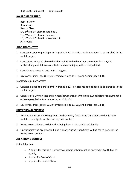Blue \$5.00 Red \$2.50 White \$2.00

#### **AWARDS IF MERITED:**

Best in Show Runner-up Best of Class  $1<sup>st</sup>$ ,  $2<sup>nd</sup>$  and  $3<sup>rd</sup>$  place record book  $1<sup>st</sup>$ ,  $2<sup>nd</sup>$  and  $3<sup>rd</sup>$  place in judging  $1<sup>st</sup>$ , 2<sup>nd</sup> and 3<sup>rd</sup> place in showmanship All Around

#### **JUDGING CONTEST**

- 1. Contest is open to participants in grades 3-12. Participants do not need to be enrolled in the rabbit project.
- 2. Contestants must be able to handle rabbits with which they are unfamiliar. Anyone mishandling a rabbit in a way that could cause injury will be disqualified.
- 3. Consists of a breed ID and animal judging.
- 4. Divisions: Junior (age 8-10), Intermediate (age 11-13), and Senior (age 14-18).

#### **SHOWMANSHIP CONTEST**

- 1. Contest is open to participants in grades 3-12. Participants do not need to be enrolled in the rabbit project.
- 2. Consists of a written test and animal showmanship. (Must use own rabbit for showmanship or have permission to use another exhibitor's)
- 3. Divisions: Junior (age 8-10), Intermediate (age 11-13), and Senior (age 14-18)

#### **HOMEGROWN CONTEST**

- 1. Exhibitors must mark Homegrown on their entry form at the time they are due for the rabbit to be eligible for the Homegrown contest.
- 2. Homegrown rabbits are defined as being born in the exhibitor's kindle.
- 3. Only rabbits who are awarded blue ribbons during Open Show will be called back for the Homegrown Contest.

#### **ALL AROUND CONTEST**

Point Schedule:

- 2 points for raising a Homegrown rabbit, rabbit must be entered in Youth Fair to qualify.
- 1 point for Best of Class
- 5 points for Best in Show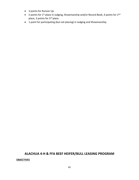- 3 points for Runner Up
- 5 points for 1<sup>st</sup> place in Judging, Showmanship and/or Record Book, 4 points for 2<sup>nd</sup> place, 3 points for 3<sup>rd</sup> place.
- 1 point for participating (but not placing) in Judging and Showmanship.

#### **ALACHUA 4-H & FFA BEEF HEIFER/BULL LEASING PROGRAM**

#### **OBJECTIVES**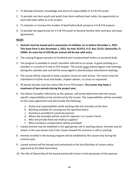- 1. To develop character, knowledge and sense of responsibility in 4-H & FFA youth.
- 2. To provide non-farm youth and youth from farms without beef cattle, the opportunity to work with beef cattle as a Fair project.
- 3. To maintain or increase the number of beef heifers/bull carried as 4-H & FFA projects.
- 4. To provide the opportunity for 4-H & FFA youth to become familiar with contracts and lease agreements.

#### **RULES**

- 1. **Animals must be leased and in possession of exhibitor on or before December 1, 2021. This lease form is due December 1, 2021, by mail: ACYFLS, P.O. Box 12114, Gainesville, FL 32604. An entry fee of \$20.00 per animal will be due with entry.**
- 2. The Leasing Program pertains to Purebred and Crossbred beef heifers or purebred bulls.
- 3. The program is available to youth, hereafter referred to as Lessee, in good standing as a member in a county 4-H club or FFA chapter. The Lessee must attend regular club meetings during the calendar year and will be encouraged to attend project educational meetings.
- 4. The Lessee will be required to keep a project record on each animal. The record must be submitted to his/her local club leader, chapter advisor, or Lessor as requested.
- 5. All leased animals must be a bona fide 4-H or FFA project. **The Lessee may lease a maximum of two animals during the project year.**
- 6. The Owner hereafter referred to as the sponsor, will jointly determine with the Lessee specific responsibilities to be carried out by the Lessee. The responsibilities will be recorded on the Lease Agreement and will include the following:
	- a. Duties and responsibilities while working with the animal(s) at the farm
	- b. Working schedule for carrying out the specified duties
	- c. Assistance provided to Lessee by sponsor
	- d. Where the animal(s) will be cared for (sponsor's or Lessee's farm)
	- e. Who will provide feed and medical supplies?
	- f. What monetary compensation will be provided?
- 7. Leased animals may be exhibited in the appropriate calf or yearling classes. Animals may be shown in the cow classes only if the Lessee showed the animal as a calf or yearling.
- 8. Animals enrolled in the leasing program will be exhibited by the Lessee only during the contract year.
- 9. Leased animals will be housed and maintained at the farm/facilities of Lessee unless approved by the Beef Committee.
- 10. The title of Ownership of the leased animal will remain in the possession of the sponsor.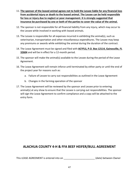- 11. **The sponsor of the leased animal agrees not to hold the Lessee liable for any financial loss from accidental injury or death to the leased animal. The Lessee can be held responsible for loss or injury due to neglect or poor management. It is strongly suggested that insurance be purchased by one or both of the parties to cover the value of the animal.**
- 12. The sponsor is not responsible for all financial liability from any injury, which may occur to the Lessee while involved in working with leased animals.
- 13. The Lessee is responsible for all expenses incurred in exhibiting the animal(s), such as veterinarian, transportation and other miscellaneous expenditures. The Lessee may keep any premiums or awards while exhibiting the animal during the duration of the contract.
- 14. The Lease Agreement must be signed and filed with **ACYFLS, P.O. Box 12114, Gainesville, FL 32604** and will be in effect for a 12-month period.
- 15. The sponsor will make the animal(s) available to the Lessee during the period of the Lease Agreement.
- 16. The Lease Agreement will remain inforce until terminated by either party or until the end of the project year for reasons such as:
	- a. Failure of Lessee to carry out responsibilities as outlined in the Lease Agreement
	- b. Changes in the farming operation of the sponsor
- 17. The Lease Agreement will be reviewed by the sponsor and Lessee prior to entering animal(s) at any show to ensure that the Lessee is carrying out responsibilities. The sponsor will sign the Lease Agreement to confirm compliance and a copy will be attached to the entry form.

#### **ALACHUA COUNTY 4-H & FFA BEEF HEIFER/BULL AGREEMENT**

This LEASE AGREEMENT is entered into on  $($ date) between Owner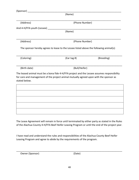| (Name)<br>(Phone Number)<br>(Name) |                                                                                                                                                                                       |  |
|------------------------------------|---------------------------------------------------------------------------------------------------------------------------------------------------------------------------------------|--|
|                                    |                                                                                                                                                                                       |  |
|                                    |                                                                                                                                                                                       |  |
|                                    |                                                                                                                                                                                       |  |
|                                    |                                                                                                                                                                                       |  |
|                                    |                                                                                                                                                                                       |  |
|                                    | The sponsor hereby agrees to lease to the Lessee listed above the following animal(s):                                                                                                |  |
|                                    | (Breeding)                                                                                                                                                                            |  |
| (Bull/Heifer)                      |                                                                                                                                                                                       |  |
|                                    | The leased animal must be a bona fide 4-H/FFA project and the Lessee assumes responsibility<br>for care and management of the project animal mutually agreed upon with the sponsor as |  |
|                                    | (Phone Number)<br>(Ear tag #)                                                                                                                                                         |  |

The Lease Agreement will remain in force until terminated by either party as stated in the Rules of the Alachua County 4-H/FFA Beef Heifer Leasing Program or until the end of the project year.

I have read and understand the rules and responsibilities of the Alachua County Beef Heifer Leasing Program and agree to abide by the requirements of the program.

Owner (Sponsor) (Date)

\_\_\_\_\_\_\_\_\_\_\_\_\_\_\_\_\_\_\_\_\_\_\_\_\_\_\_\_\_\_\_\_\_\_\_\_\_\_\_\_\_\_\_\_\_\_\_\_\_\_\_\_\_\_\_\_\_\_\_\_\_\_\_\_\_\_\_\_\_\_\_\_\_\_\_\_\_\_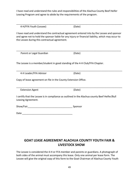I have read and understand the rules and responsibilities of the Alachua County Beef Heifer Leasing Program and agree to abide by the requirements of the program.

| 4-H/FFA Youth (Lessee) | 'Date <sub>)</sub> |  |
|------------------------|--------------------|--|

I have read and understand the contractual agreement entered into by the Lessee and sponsor and agree not to hold the sponsor liable for any injury or financial liability, which may occur to the Lessee during this contractual agreement.

\_\_\_\_\_\_\_\_\_\_\_\_\_\_\_\_\_\_\_\_\_\_\_\_\_\_\_\_\_\_\_\_\_\_\_\_\_\_\_\_\_\_\_\_\_\_\_\_\_\_\_\_\_\_\_\_\_\_\_\_\_\_\_\_\_\_\_\_\_\_\_\_\_\_\_\_\_

\_\_\_\_\_\_\_\_\_\_\_\_\_\_\_\_\_\_\_\_\_\_\_\_\_\_\_\_\_\_\_\_\_\_\_\_\_\_\_\_\_\_\_\_\_\_\_\_\_\_\_\_\_\_\_\_\_\_\_\_\_\_\_\_\_\_\_\_\_\_\_\_\_\_\_\_\_\_

Parent or Legal Guardian (Date)

The Lessee is a member/student in good standing of the 4-H Club/FFA Chapter.

4-H Leader/FFA Advisor (Date)

Copy of lease agreement on file in the County Extension Office.

Extension Agent (Date)

I certify that the Lessee is in compliance as outlined in the Alachua county Beef Heifer/Bull Leasing Agreement.

Show/Fair\_\_\_\_\_\_\_\_\_\_\_\_\_\_\_\_\_\_\_\_\_\_\_\_\_\_\_\_\_\_\_\_\_ Sponsor

Date \_\_\_\_\_\_\_\_\_\_\_\_\_\_\_\_\_\_\_\_\_\_\_\_\_\_\_\_\_\_\_\_\_\_\_\_\_

#### **GOAT LEASE AGREEMENT ALACHUA COUNTY YOUTH FAIR & LIVESTOCK SHOW**

The Lessee is considered the 4-H or FFA member and parents or guardians. A photograph of both sides of the animal must accompany this lease. Only one animal per lease form. The Lessee will give the original copy of this form to the Goat Chairman of Alachua County Youth

\_\_\_\_\_\_\_\_\_\_\_\_\_\_\_\_\_\_\_\_\_\_\_\_\_\_\_\_\_\_\_\_\_\_\_\_\_\_\_\_\_\_\_\_\_\_\_\_\_\_\_\_\_\_\_\_\_\_\_\_\_\_\_\_\_\_\_\_\_\_\_\_\_\_\_\_\_\_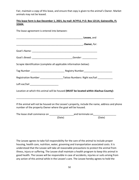Fair, maintain a copy of this lease, and ensure that copy is given to the animal's Owner. Market animals may not be leased.

#### **This lease form is due December 1, 2021, by mail: ACYFLS, P.O. Box 12114, Gainesville, FL 32604.**

The lease agreement is entered into between: \_\_\_\_\_\_\_\_\_\_\_\_\_\_\_\_\_\_\_\_\_\_\_\_\_\_\_\_\_\_\_\_\_\_\_\_\_\_\_\_\_\_\_\_\_\_\_\_\_ **Lessee,** and \_\_\_\_\_\_\_\_\_\_\_\_\_\_\_\_\_\_\_\_\_\_\_\_\_\_\_\_\_\_\_\_\_\_\_\_\_\_\_\_\_\_\_\_\_\_\_\_\_, **Owner,** for: Goat's Name: \_\_\_\_\_\_\_\_\_\_\_\_\_\_\_\_\_\_\_\_\_\_\_\_\_\_\_\_\_\_\_\_\_\_\_\_\_\_\_\_\_\_\_\_\_\_\_\_ Goat's Breed: \_\_\_\_\_\_\_\_\_\_\_\_\_\_\_\_\_\_\_\_\_\_\_\_\_\_\_\_\_\_Gender: \_\_\_\_\_\_\_\_\_\_\_ Scrapie Identification (complete all applicable information below): Tag Number \_\_\_\_\_\_\_\_\_\_\_\_\_\_\_\_\_\_\_\_\_\_\_\_\_ Registry Number\_\_\_\_\_\_\_\_\_\_\_\_\_\_\_\_\_\_\_\_\_ Registration Number \_\_\_\_\_\_\_\_\_\_\_\_\_\_\_\_\_\_\_\_Tattoo Numbers: Right ear/tail Left ear/tail **Letter** Location at which this animal will be housed **(MUST be located within Alachua County):** \_\_\_\_\_\_\_\_\_\_\_\_\_\_\_\_\_\_\_\_\_\_\_\_\_\_\_\_\_\_\_\_\_\_\_\_\_\_\_\_\_\_\_\_\_\_\_\_\_\_\_\_\_\_\_\_\_\_\_\_\_\_\_\_\_\_\_\_\_\_\_\_ If the animal will not be housed on the Lessee's property, include the name, address and phone number of the property Owner where the goat will be housed. The lease shall commence on \_\_\_\_\_\_\_\_\_\_\_\_\_\_\_\_\_\_and terminate on\_\_\_\_\_\_\_\_\_\_\_\_\_\_\_\_\_ (Date) (Date)

The Lessee agrees to take full responsibility for the care of the animal to include proper housing, health care, nutrition, water, grooming and transportation associated costs. It is understood that the Lessee will take all reasonable precautions to protect the animal from illness, injury or suffering. The Lessee shall maintain a health program to keep this animal in good health. The Lessee will be responsible in case of accidents, injuries or suits arising from any action of this animal while in the Lessee's care. The Lessee hereby agrees to hold the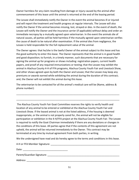Owner harmless for any claim resulting from damage or injury caused by the animal after commencement of this lease until the animal is returned at the end of the leasing period.

The Lessee shall immediately notify the Owner in the event the animal becomes ill or injured and will report the treatment and health progress at regular intervals. The Lessee will also notify the Owner if the animal becomes missing, lost, strayed or dies. In the event of death, the Lessee will notify the Owner and the insurance carrier (if applicable) without delay and order an immediate necropsy by a mutually agreed upon veterinarian. In the event the animals die of natural causes, all parties will be held harmless if the mutually agreed upon veterinarian verifies the cause of death to be natural after examination. If the animal dies from negligence, the Lessee is held responsible for the full replacement value of the animal.

The Owner agrees: that he/she is the lawful Owner of the animal subject to this lease and has the good authority to enter this lease. The Owner represents that the animal is in good health and good disposition; to furnish, in a timely manner, such documents that are necessary for signing the animal up for programs or shows including: registration papers, current health papers, and proof of any required immunizations or testing; that the Lessee may exhibit the animal in Alachua County 4-H of FFA programs, Alachua County Youth Fair and Livestock Show, and other shows agreed upon by both the Owner and Lessee; that the Lessee may keep any premiums or awards earned while exhibiting the animal during the duration of this contract; and, the Owner will not exhibit the animal during this lease.

The veterinarian to be contacted for all the animal's medical care will be (Name, address & phone number):

\_\_\_\_\_\_\_\_\_\_\_\_\_\_\_\_\_\_\_\_\_\_\_\_\_\_\_\_\_\_\_\_\_\_\_\_\_\_\_\_\_\_\_\_\_\_\_\_\_\_\_\_\_\_\_\_\_\_\_\_\_\_\_\_\_\_\_\_\_\_\_\_\_\_\_\_

\_\_\_\_\_\_\_\_\_\_\_\_\_\_\_\_\_\_\_\_\_\_\_\_\_\_\_\_\_\_\_\_\_\_\_\_\_\_\_\_\_\_\_\_\_\_\_\_\_\_\_\_\_\_\_\_\_\_\_\_\_\_\_\_\_\_\_\_\_\_\_\_\_\_\_\_

The Alachua County Youth Fair Goat Committee reserves the rights to verify health and location of any animal to be entered or exhibited at the Alachua County Youth Fair and Livestock Show. If the leased animal is not at the listed address, if the housing is deemed inappropriate, or the animal is not properly cared for, the animal will not be eligible for participation or exhibition in the 4-H/FFA project at the Alachua County Youth Fair. The Lessee is required to notify the Goat Chairman immediately if there are any deviations or changes in the conditions of this lease. All parties agree that if the contents of this agreement are not upheld, the animal will be returned immediately to the Owner. This contract may be terminated at any time by mutual agreement from both parties, in writing.

We the undersigned have read and do hereby agree to the terms and conditions in this lease.

| 4-H or FFA Member Signature:                                                                                                                                                                                                   |  |
|--------------------------------------------------------------------------------------------------------------------------------------------------------------------------------------------------------------------------------|--|
| Date:                                                                                                                                                                                                                          |  |
| Parent/Guardian Signature: Note that the contract of the contract of the contract of the contract of the contract of the contract of the contract of the contract of the contract of the contract of the contract of the contr |  |
| Address:                                                                                                                                                                                                                       |  |